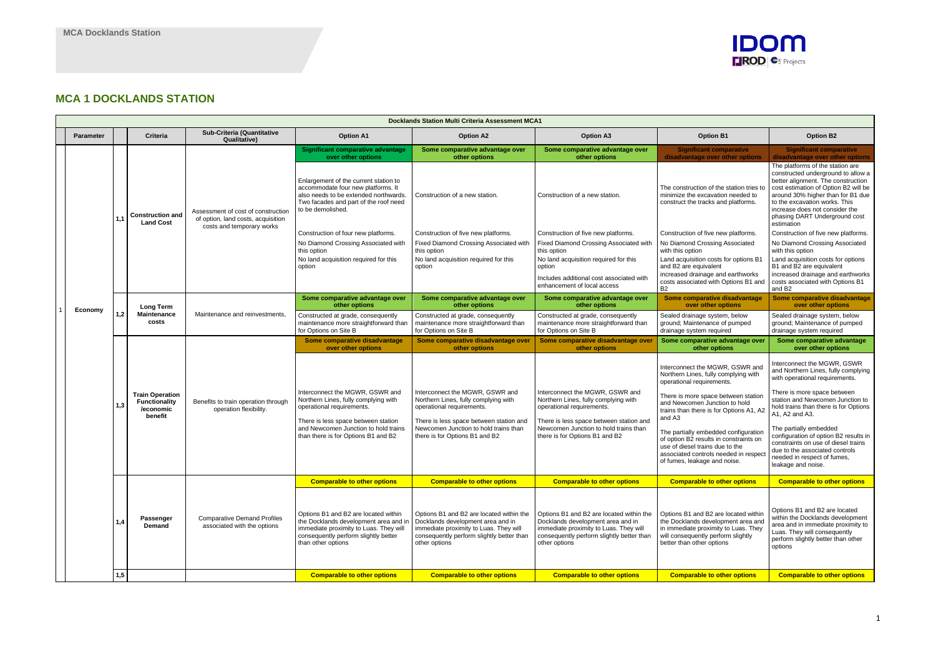# **MCA 1 DOCKLANDS STATION**

| <b>Docklands Station Multi Criteria Assessment MCA1</b> |                  |     |                                                             |                                                                                                       |                                                                                                                                                                                       |                                                                                                                                                                                       |                                                                                                                                                                                       |                                                                                                                                                                                                                                   |                                                                                                                                                                                                                                                                                                             |
|---------------------------------------------------------|------------------|-----|-------------------------------------------------------------|-------------------------------------------------------------------------------------------------------|---------------------------------------------------------------------------------------------------------------------------------------------------------------------------------------|---------------------------------------------------------------------------------------------------------------------------------------------------------------------------------------|---------------------------------------------------------------------------------------------------------------------------------------------------------------------------------------|-----------------------------------------------------------------------------------------------------------------------------------------------------------------------------------------------------------------------------------|-------------------------------------------------------------------------------------------------------------------------------------------------------------------------------------------------------------------------------------------------------------------------------------------------------------|
|                                                         | <b>Parameter</b> |     | <b>Criteria</b>                                             | Sub-Criteria (Quantitative<br><b>Qualitative)</b>                                                     | <b>Option A1</b>                                                                                                                                                                      | <b>Option A2</b>                                                                                                                                                                      | <b>Option A3</b>                                                                                                                                                                      | <b>Option B1</b>                                                                                                                                                                                                                  | <b>Option B2</b>                                                                                                                                                                                                                                                                                            |
|                                                         |                  |     |                                                             |                                                                                                       | <b>Significant comparative advantage</b><br>over other options                                                                                                                        | Some comparative advantage over<br>other options                                                                                                                                      | Some comparative advantage over<br>other options                                                                                                                                      | <b>Significant comparative</b><br>disadvantage over other options                                                                                                                                                                 | <b>Significant comparative</b><br>disadvantage over other options                                                                                                                                                                                                                                           |
|                                                         |                  |     | <b>Construction and</b><br><b>Land Cost</b>                 | Assessment of cost of construction<br>of option, land costs, acquisition<br>costs and temporary works | Enlargement of the current station to<br>accommodate four new platforms. It<br>also needs to be extended northwards.<br>Two facades and part of the roof need<br>to be demolished.    | Construction of a new station.                                                                                                                                                        | Construction of a new station.                                                                                                                                                        | The construction of the station tries to<br>minimize the excavation needed to<br>construct the tracks and platforms.                                                                                                              | The platforms of the station are<br>constructed underground to allow a<br>better alignment. The construction<br>cost estimation of Option B2 will be<br>around 30% higher than for B1 due<br>to the excavation works. This<br>increase does not consider the<br>phasing DART Underground cost<br>estimation |
|                                                         |                  |     |                                                             |                                                                                                       | Construction of four new platforms.                                                                                                                                                   | Construction of five new platforms.                                                                                                                                                   | Construction of five new platforms.                                                                                                                                                   | Construction of five new platforms.                                                                                                                                                                                               | Construction of five new platforms.                                                                                                                                                                                                                                                                         |
|                                                         |                  |     |                                                             |                                                                                                       | No Diamond Crossing Associated with<br>this option                                                                                                                                    | Fixed Diamond Crossing Associated with<br>this option                                                                                                                                 | Fixed Diamond Crossing Associated with<br>this option                                                                                                                                 | No Diamond Crossing Associated<br>with this option                                                                                                                                                                                | No Diamond Crossing Associated<br>with this option                                                                                                                                                                                                                                                          |
|                                                         |                  |     |                                                             |                                                                                                       | No land acquisition required for this<br>option                                                                                                                                       | No land acquisition required for this<br>option                                                                                                                                       | No land acquisition required for this<br>option                                                                                                                                       | Land acquisition costs for options B1<br>and B2 are equivalent                                                                                                                                                                    | Land acquisition costs for options<br>B1 and B2 are equivalent                                                                                                                                                                                                                                              |
|                                                         |                  |     |                                                             |                                                                                                       |                                                                                                                                                                                       |                                                                                                                                                                                       | Includes additional cost associated with<br>enhancement of local access                                                                                                               | increased drainage and earthworks<br>costs associated with Options B1 and<br><b>B2</b>                                                                                                                                            | increased drainage and earthworks<br>costs associated with Options B1<br>and B <sub>2</sub>                                                                                                                                                                                                                 |
|                                                         |                  |     | <b>Long Term</b><br><b>Maintenance</b><br>costs             |                                                                                                       | Some comparative advantage over<br>other options                                                                                                                                      | Some comparative advantage over<br>other options                                                                                                                                      | Some comparative advantage over<br>other options                                                                                                                                      | Some comparative disadvantage<br>over other options                                                                                                                                                                               | Some comparative disadvantage<br>over other options                                                                                                                                                                                                                                                         |
|                                                         | Economy          | 1,2 |                                                             | Maintenance and reinvestments.                                                                        | Constructed at grade, consequently<br>maintenance more straightforward than<br>for Options on Site B                                                                                  | Constructed at grade, consequently<br>maintenance more straightforward than<br>for Options on Site B                                                                                  | Constructed at grade, consequently<br>maintenance more straightforward than<br>for Options on Site B                                                                                  | Sealed drainage system, below<br>ground; Maintenance of pumped<br>drainage system required                                                                                                                                        | Sealed drainage system, below<br>ground; Maintenance of pumped<br>drainage system required                                                                                                                                                                                                                  |
|                                                         |                  |     |                                                             | Benefits to train operation through<br>operation flexibility.<br>benefit                              | Some comparative disadvantage<br>over other options                                                                                                                                   | Some comparative disadvantage over<br>other options                                                                                                                                   | Some comparative disadvantage over<br>other options                                                                                                                                   | Some comparative advantage over<br>other options                                                                                                                                                                                  | Some comparative advantage<br>over other options                                                                                                                                                                                                                                                            |
|                                                         |                  | 1,3 | <b>Train Operation</b><br><b>Functionality</b><br>/economic |                                                                                                       | Interconnect the MGWR, GSWR and<br>Northern Lines, fully complying with<br>operational requirements.<br>There is less space between station                                           | Interconnect the MGWR, GSWR and<br>Northern Lines, fully complying with<br>operational requirements.<br>There is less space between station and                                       | Interconnect the MGWR, GSWR and<br>Northern Lines, fully complying with<br>operational requirements.<br>There is less space between station and                                       | Interconnect the MGWR, GSWR and<br>Northern Lines, fully complying with<br>operational requirements.<br>There is more space between station<br>and Newcomen Junction to hold<br>trains than there is for Options A1, A2<br>and A3 | Interconnect the MGWR, GSWR<br>and Northern Lines, fully complying<br>with operational requirements.<br>There is more space between<br>station and Newcomen Junction to<br>hold trains than there is for Options<br>A1, A2 and A3.                                                                          |
|                                                         |                  |     |                                                             |                                                                                                       | and Newcomen Junction to hold trains<br>than there is for Options B1 and B2                                                                                                           | Newcomen Junction to hold trains than<br>there is for Options B1 and B2                                                                                                               | Newcomen Junction to hold trains than<br>there is for Options B1 and B2                                                                                                               | The partially embedded configuration<br>of option B2 results in constraints on<br>use of diesel trains due to the<br>associated controls needed in respect<br>of fumes, leakage and noise.                                        | The partially embedded<br>configuration of option B2 results in<br>constraints on use of diesel trains<br>due to the associated controls<br>needed in respect of fumes,<br>leakage and noise.                                                                                                               |
|                                                         |                  |     |                                                             |                                                                                                       | <b>Comparable to other options</b>                                                                                                                                                    | <b>Comparable to other options</b>                                                                                                                                                    | <b>Comparable to other options</b>                                                                                                                                                    | <b>Comparable to other options</b>                                                                                                                                                                                                | <b>Comparable to other options</b>                                                                                                                                                                                                                                                                          |
|                                                         |                  |     | Passenger<br>Demand                                         | <b>Comparative Demand Profiles</b><br>associated with the options                                     | Options B1 and B2 are located within<br>the Docklands development area and ir<br>immediate proximity to Luas. They will<br>consequently perform slightly better<br>than other options | Options B1 and B2 are located within the<br>Docklands development area and in<br>immediate proximity to Luas. They will<br>consequently perform slightly better than<br>other options | Options B1 and B2 are located within the<br>Docklands development area and in<br>immediate proximity to Luas. They will<br>consequently perform slightly better than<br>other options | Options B1 and B2 are located within<br>the Docklands development area and<br>in immediate proximity to Luas. They<br>will consequently perform slightly<br>better than other options                                             | Options B1 and B2 are located<br>within the Docklands development<br>area and in immediate proximity to<br>Luas. They will consequently<br>perform slightly better than other<br>options                                                                                                                    |
|                                                         |                  | 1,5 |                                                             |                                                                                                       | <b>Comparable to other options</b>                                                                                                                                                    | <b>Comparable to other options</b>                                                                                                                                                    | <b>Comparable to other options</b>                                                                                                                                                    | <b>Comparable to other options</b>                                                                                                                                                                                                | <b>Comparable to other options</b>                                                                                                                                                                                                                                                                          |

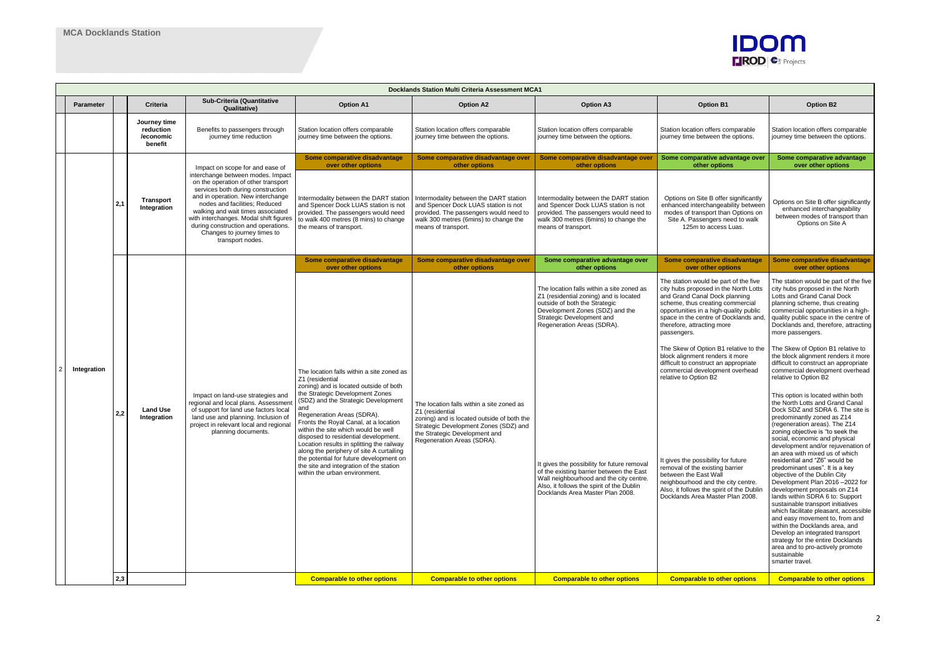|  | <b>Docklands Station Multi Criteria Assessment MCA1</b> |     |                                                   |                                                                                                                                                                                                                                                                                                                                                              |                                                                                                                                                                                                                                                                                                                                                                                                                                                                                                                                                               |                                                                                                                                                                                                                    |                                                                                                                                                                                                                                                                                                                                                                                                                                           |                                                                                                                                                                                                                                                                                                                                                                                                                                                                                                                                                                                                                                                                                                |                                                                                                                                                                                                                                                                                                                                                                                                                                                                                                                                                                                                                                                                                                                                                                                                                                                                                                                                                                                                                                                                                                                                                                                                                                                                                                         |
|--|---------------------------------------------------------|-----|---------------------------------------------------|--------------------------------------------------------------------------------------------------------------------------------------------------------------------------------------------------------------------------------------------------------------------------------------------------------------------------------------------------------------|---------------------------------------------------------------------------------------------------------------------------------------------------------------------------------------------------------------------------------------------------------------------------------------------------------------------------------------------------------------------------------------------------------------------------------------------------------------------------------------------------------------------------------------------------------------|--------------------------------------------------------------------------------------------------------------------------------------------------------------------------------------------------------------------|-------------------------------------------------------------------------------------------------------------------------------------------------------------------------------------------------------------------------------------------------------------------------------------------------------------------------------------------------------------------------------------------------------------------------------------------|------------------------------------------------------------------------------------------------------------------------------------------------------------------------------------------------------------------------------------------------------------------------------------------------------------------------------------------------------------------------------------------------------------------------------------------------------------------------------------------------------------------------------------------------------------------------------------------------------------------------------------------------------------------------------------------------|---------------------------------------------------------------------------------------------------------------------------------------------------------------------------------------------------------------------------------------------------------------------------------------------------------------------------------------------------------------------------------------------------------------------------------------------------------------------------------------------------------------------------------------------------------------------------------------------------------------------------------------------------------------------------------------------------------------------------------------------------------------------------------------------------------------------------------------------------------------------------------------------------------------------------------------------------------------------------------------------------------------------------------------------------------------------------------------------------------------------------------------------------------------------------------------------------------------------------------------------------------------------------------------------------------|
|  | <b>Parameter</b>                                        |     | <b>Criteria</b>                                   | Sub-Criteria (Quantitative<br><b>Qualitative)</b>                                                                                                                                                                                                                                                                                                            | <b>Option A1</b>                                                                                                                                                                                                                                                                                                                                                                                                                                                                                                                                              | <b>Option A2</b>                                                                                                                                                                                                   | <b>Option A3</b>                                                                                                                                                                                                                                                                                                                                                                                                                          | <b>Option B1</b>                                                                                                                                                                                                                                                                                                                                                                                                                                                                                                                                                                                                                                                                               | <b>Option B2</b>                                                                                                                                                                                                                                                                                                                                                                                                                                                                                                                                                                                                                                                                                                                                                                                                                                                                                                                                                                                                                                                                                                                                                                                                                                                                                        |
|  |                                                         |     | Journey time<br>reduction<br>/economic<br>benefit | Benefits to passengers through<br>journey time reduction                                                                                                                                                                                                                                                                                                     | Station location offers comparable<br>journey time between the options.                                                                                                                                                                                                                                                                                                                                                                                                                                                                                       | Station location offers comparable<br>journey time between the options.                                                                                                                                            | Station location offers comparable<br>journey time between the options.                                                                                                                                                                                                                                                                                                                                                                   | Station location offers comparable<br>journey time between the options.                                                                                                                                                                                                                                                                                                                                                                                                                                                                                                                                                                                                                        | Station location offers comparable<br>journey time between the options.                                                                                                                                                                                                                                                                                                                                                                                                                                                                                                                                                                                                                                                                                                                                                                                                                                                                                                                                                                                                                                                                                                                                                                                                                                 |
|  |                                                         |     |                                                   | Impact on scope for and ease of                                                                                                                                                                                                                                                                                                                              | Some comparative disadvantage<br>over other options                                                                                                                                                                                                                                                                                                                                                                                                                                                                                                           | Some comparative disadvantage over<br>other options                                                                                                                                                                | Some comparative disadvantage over<br>other options                                                                                                                                                                                                                                                                                                                                                                                       | Some comparative advantage over<br>other options                                                                                                                                                                                                                                                                                                                                                                                                                                                                                                                                                                                                                                               | Some comparative advantage<br>over other options                                                                                                                                                                                                                                                                                                                                                                                                                                                                                                                                                                                                                                                                                                                                                                                                                                                                                                                                                                                                                                                                                                                                                                                                                                                        |
|  |                                                         | 2,1 | Transport<br>Integration                          | interchange between modes. Impact<br>on the operation of other transport<br>services both during construction<br>and in operation. New interchange<br>nodes and facilities; Reduced<br>walking and wait times associated<br>with interchanges. Modal shift figures<br>during construction and operations.<br>Changes to journey times to<br>transport nodes. | Intermodality between the DART station<br>and Spencer Dock LUAS station is not<br>provided. The passengers would need<br>to walk 400 metres (8 mins) to change<br>the means of transport.                                                                                                                                                                                                                                                                                                                                                                     | Intermodality between the DART station<br>and Spencer Dock LUAS station is not<br>provided. The passengers would need to<br>walk 300 metres (6mins) to change the<br>means of transport.                           | Intermodality between the DART station<br>and Spencer Dock LUAS station is not<br>provided. The passengers would need to<br>walk 300 metres (6mins) to change the<br>means of transport.                                                                                                                                                                                                                                                  | Options on Site B offer significantly<br>enhanced interchangeability between<br>modes of transport than Options on<br>Site A. Passengers need to walk<br>125m to access Luas.                                                                                                                                                                                                                                                                                                                                                                                                                                                                                                                  | Options on Site B offer significantly<br>enhanced interchangeability<br>between modes of transport than<br>Options on Site A                                                                                                                                                                                                                                                                                                                                                                                                                                                                                                                                                                                                                                                                                                                                                                                                                                                                                                                                                                                                                                                                                                                                                                            |
|  |                                                         |     |                                                   |                                                                                                                                                                                                                                                                                                                                                              | Some comparative disadvantage<br>over other options                                                                                                                                                                                                                                                                                                                                                                                                                                                                                                           | Some comparative disadvantage over<br>other options                                                                                                                                                                | Some comparative advantage over<br>other options                                                                                                                                                                                                                                                                                                                                                                                          | Some comparative disadvantage<br>over other options                                                                                                                                                                                                                                                                                                                                                                                                                                                                                                                                                                                                                                            | Some comparative disadvantage<br>over other options                                                                                                                                                                                                                                                                                                                                                                                                                                                                                                                                                                                                                                                                                                                                                                                                                                                                                                                                                                                                                                                                                                                                                                                                                                                     |
|  | Integration                                             | 2,2 | <b>Land Use</b><br>Integration                    | Impact on land-use strategies and<br>regional and local plans. Assessment<br>of support for land use factors local<br>land use and planning. Inclusion of<br>project in relevant local and regional<br>planning documents.                                                                                                                                   | The location falls within a site zoned as<br>Z1 (residential<br>zoning) and is located outside of both<br>the Strategic Development Zones<br>(SDZ) and the Strategic Development<br>and<br>Regeneration Areas (SDRA).<br>Fronts the Royal Canal, at a location<br>within the site which would be well<br>disposed to residential development.<br>Location results in splitting the railway<br>along the periphery of site A curtailing<br>the potential for future development on<br>the site and integration of the station<br>within the urban environment. | The location falls within a site zoned as<br>Z1 (residential<br>zoning) and is located outside of both the<br>Strategic Development Zones (SDZ) and<br>the Strategic Development and<br>Regeneration Areas (SDRA). | The location falls within a site zoned as<br>Z1 (residential zoning) and is located<br>outside of both the Strategic<br>Development Zones (SDZ) and the<br>Strategic Development and<br>Regeneration Areas (SDRA).<br>It gives the possibility for future removal<br>of the existing barrier between the East<br>Wall neighbourhood and the city centre.<br>Also, it follows the spirit of the Dublin<br>Docklands Area Master Plan 2008. | The station would be part of the five<br>city hubs proposed in the North Lotts<br>and Grand Canal Dock planning<br>scheme, thus creating commercial<br>opportunities in a high-quality public<br>space in the centre of Docklands and,<br>therefore, attracting more<br>passengers.<br>The Skew of Option B1 relative to the<br>block alignment renders it more<br>difficult to construct an appropriate<br>commercial development overhead<br>relative to Option B2<br>It gives the possibility for future<br>removal of the existing barrier<br>between the East Wall<br>neighbourhood and the city centre.<br>Also, it follows the spirit of the Dublin<br>Docklands Area Master Plan 2008. | The station would be part of the five<br>city hubs proposed in the North<br>Lotts and Grand Canal Dock<br>planning scheme, thus creating<br>commercial opportunities in a high-<br>quality public space in the centre of<br>Docklands and, therefore, attracting<br>more passengers.<br>The Skew of Option B1 relative to<br>the block alignment renders it more<br>difficult to construct an appropriate<br>commercial development overhead<br>relative to Option B2<br>This option is located within both<br>the North Lotts and Grand Canal<br>Dock SDZ and SDRA 6. The site is<br>predominantly zoned as Z14<br>(regeneration areas). The Z14<br>zoning objective is "to seek the<br>social, economic and physical<br>development and/or rejuvenation of<br>an area with mixed us of which<br>residential and "Z6" would be<br>predominant uses". It is a key<br>objective of the Dublin City<br>Development Plan 2016 -2022 for<br>development proposals on Z14<br>lands within SDRA 6 to: Support<br>sustainable transport initiatives<br>which facilitate pleasant, accessible<br>and easy movement to, from and<br>within the Docklands area, and<br>Develop an integrated transport<br>strategy for the entire Docklands<br>area and to pro-actively promote<br>sustainable<br>smarter travel. |
|  |                                                         | 2,3 |                                                   |                                                                                                                                                                                                                                                                                                                                                              | <b>Comparable to other options</b>                                                                                                                                                                                                                                                                                                                                                                                                                                                                                                                            | <b>Comparable to other options</b>                                                                                                                                                                                 | <b>Comparable to other options</b>                                                                                                                                                                                                                                                                                                                                                                                                        | <b>Comparable to other options</b>                                                                                                                                                                                                                                                                                                                                                                                                                                                                                                                                                                                                                                                             | <b>Comparable to other options</b>                                                                                                                                                                                                                                                                                                                                                                                                                                                                                                                                                                                                                                                                                                                                                                                                                                                                                                                                                                                                                                                                                                                                                                                                                                                                      |

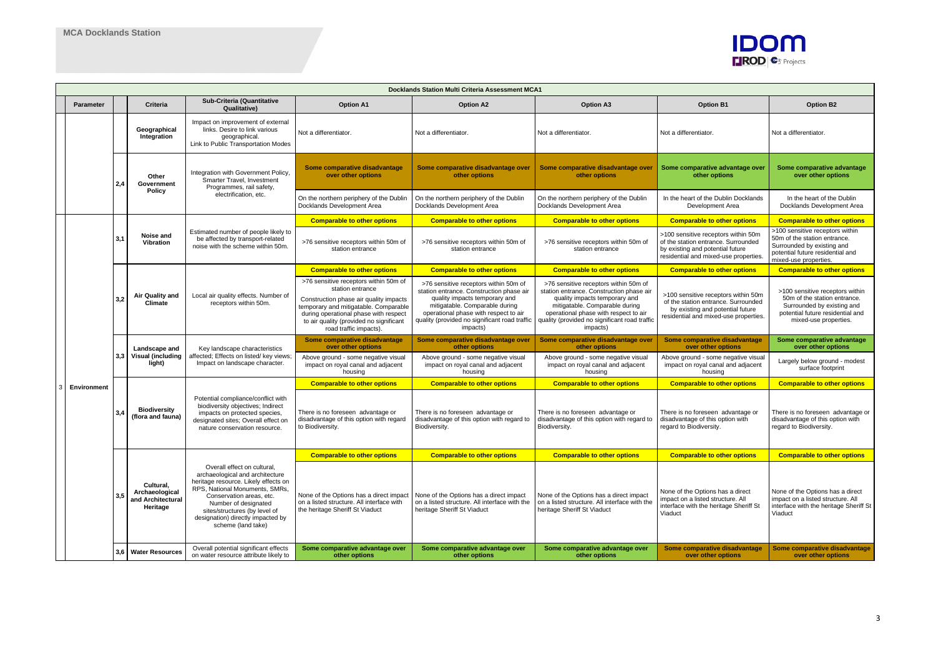|  | <b>Docklands Station Multi Criteria Assessment MCA1</b> |     |                                                              |                                                                                                                                                                                                                                                                                          |                                                                                                                                                                                                                                                            |                                                                                                                                                                                                                                                            |                                                                                                                                                                                                                                                            |                                                                                                                                                         |                                                                                                                                                            |
|--|---------------------------------------------------------|-----|--------------------------------------------------------------|------------------------------------------------------------------------------------------------------------------------------------------------------------------------------------------------------------------------------------------------------------------------------------------|------------------------------------------------------------------------------------------------------------------------------------------------------------------------------------------------------------------------------------------------------------|------------------------------------------------------------------------------------------------------------------------------------------------------------------------------------------------------------------------------------------------------------|------------------------------------------------------------------------------------------------------------------------------------------------------------------------------------------------------------------------------------------------------------|---------------------------------------------------------------------------------------------------------------------------------------------------------|------------------------------------------------------------------------------------------------------------------------------------------------------------|
|  | <b>Parameter</b>                                        |     | <b>Criteria</b>                                              | Sub-Criteria (Quantitative<br><b>Qualitative)</b>                                                                                                                                                                                                                                        | <b>Option A1</b>                                                                                                                                                                                                                                           | <b>Option A2</b>                                                                                                                                                                                                                                           | <b>Option A3</b>                                                                                                                                                                                                                                           | <b>Option B1</b>                                                                                                                                        | <b>Option B2</b>                                                                                                                                           |
|  |                                                         |     | Geographical<br>Integration                                  | Impact on improvement of external<br>links. Desire to link various<br>geographical.<br>Link to Public Transportation Modes                                                                                                                                                               | Not a differentiator.                                                                                                                                                                                                                                      | Not a differentiator.                                                                                                                                                                                                                                      | Not a differentiator.                                                                                                                                                                                                                                      | Not a differentiator.                                                                                                                                   | Not a differentiator.                                                                                                                                      |
|  |                                                         | 2.4 | Other<br>Government<br>Policy                                | Integration with Government Policy,<br>Smarter Travel, Investment<br>Programmes, rail safety,                                                                                                                                                                                            | Some comparative disadvantage<br>over other options                                                                                                                                                                                                        | Some comparative disadvantage over<br>other options                                                                                                                                                                                                        | Some comparative disadvantage over<br>other options                                                                                                                                                                                                        | Some comparative advantage over<br>other options                                                                                                        | Some comparative advantage<br>over other options                                                                                                           |
|  |                                                         |     |                                                              | electrification, etc.                                                                                                                                                                                                                                                                    | On the northern periphery of the Dublin<br>Docklands Development Area                                                                                                                                                                                      | On the northern periphery of the Dublin<br>Docklands Development Area                                                                                                                                                                                      | On the northern periphery of the Dublin<br>Docklands Development Area                                                                                                                                                                                      | In the heart of the Dublin Docklands<br>Development Area                                                                                                | In the heart of the Dublin<br>Docklands Development Area                                                                                                   |
|  |                                                         |     |                                                              |                                                                                                                                                                                                                                                                                          | <b>Comparable to other options</b>                                                                                                                                                                                                                         | <b>Comparable to other options</b>                                                                                                                                                                                                                         | <b>Comparable to other options</b>                                                                                                                                                                                                                         | <b>Comparable to other options</b>                                                                                                                      | <b>Comparable to other options</b>                                                                                                                         |
|  |                                                         | 3.1 | Noise and<br><b>Vibration</b>                                | Estimated number of people likely to<br>be affected by transport-related<br>noise with the scheme within 50m.                                                                                                                                                                            | >76 sensitive receptors within 50m of<br>station entrance                                                                                                                                                                                                  | >76 sensitive receptors within 50m of<br>station entrance                                                                                                                                                                                                  | >76 sensitive receptors within 50m of<br>station entrance                                                                                                                                                                                                  | >100 sensitive receptors within 50m<br>of the station entrance. Surrounded<br>by existing and potential future<br>residential and mixed-use properties  | >100 sensitive receptors within<br>50m of the station entrance.<br>Surrounded by existing and<br>potential future residential and<br>mixed-use properties. |
|  |                                                         |     | Air Quality and<br><b>Climate</b>                            |                                                                                                                                                                                                                                                                                          | <b>Comparable to other options</b>                                                                                                                                                                                                                         | <b>Comparable to other options</b>                                                                                                                                                                                                                         | <b>Comparable to other options</b>                                                                                                                                                                                                                         | <b>Comparable to other options</b>                                                                                                                      | <b>Comparable to other options</b>                                                                                                                         |
|  |                                                         | 3.2 |                                                              | Local air quality effects. Number of<br>receptors within 50m.                                                                                                                                                                                                                            | >76 sensitive receptors within 50m of<br>station entrance<br>Construction phase air quality impacts<br>temporary and mitigatable. Comparable<br>during operational phase with respect<br>to air quality (provided no significant<br>road traffic impacts). | >76 sensitive receptors within 50m of<br>station entrance. Construction phase air<br>quality impacts temporary and<br>mitigatable. Comparable during<br>operational phase with respect to air<br>quality (provided no significant road traffic<br>impacts) | >76 sensitive receptors within 50m of<br>station entrance. Construction phase air<br>quality impacts temporary and<br>mitigatable. Comparable during<br>operational phase with respect to air<br>quality (provided no significant road traffic<br>impacts) | >100 sensitive receptors within 50m<br>of the station entrance. Surrounded<br>by existing and potential future<br>residential and mixed-use properties. | >100 sensitive receptors within<br>50m of the station entrance.<br>Surrounded by existing and<br>potential future residential and<br>mixed-use properties. |
|  |                                                         |     | Landscape and                                                | Key landscape characteristics                                                                                                                                                                                                                                                            | Some comparative disadvantage<br>over other options                                                                                                                                                                                                        | Some comparative disadvantage over<br>other options                                                                                                                                                                                                        | Some comparative disadvantage over<br>other options                                                                                                                                                                                                        | Some comparative disadvantage<br>over other options                                                                                                     | Some comparative advantage<br>over other options                                                                                                           |
|  |                                                         | 3,3 | <b>Visual (including</b><br>light)                           | affected; Effects on listed/ key views;<br>Impact on landscape character.                                                                                                                                                                                                                | Above ground - some negative visual<br>impact on royal canal and adjacent<br>housing                                                                                                                                                                       | Above ground - some negative visual<br>impact on royal canal and adjacent<br>housing                                                                                                                                                                       | Above ground - some negative visual<br>impact on royal canal and adjacent<br>housing                                                                                                                                                                       | Above ground - some negative visual<br>impact on royal canal and adjacent<br>housing                                                                    | Largely below ground - modest<br>surface footprint                                                                                                         |
|  | Environment                                             |     |                                                              |                                                                                                                                                                                                                                                                                          | <b>Comparable to other options</b>                                                                                                                                                                                                                         | <b>Comparable to other options</b>                                                                                                                                                                                                                         | <b>Comparable to other options</b>                                                                                                                                                                                                                         | <b>Comparable to other options</b>                                                                                                                      | <b>Comparable to other options</b>                                                                                                                         |
|  |                                                         |     | <b>Biodiversity</b><br>(flora and fauna)                     | Potential compliance/conflict with<br>biodiversity objectives; Indirect<br>impacts on protected species,<br>designated sites; Overall effect on<br>nature conservation resource.                                                                                                         | There is no foreseen advantage or<br>disadvantage of this option with regard<br>to Biodiversity.                                                                                                                                                           | There is no foreseen advantage or<br>disadvantage of this option with regard to<br>Biodiversity.                                                                                                                                                           | There is no foreseen advantage or<br>disadvantage of this option with regard to<br>Biodiversity.                                                                                                                                                           | There is no foreseen advantage or<br>disadvantage of this option with<br>regard to Biodiversity.                                                        | There is no foreseen advantage or<br>disadvantage of this option with<br>regard to Biodiversity.                                                           |
|  |                                                         |     |                                                              |                                                                                                                                                                                                                                                                                          | <b>Comparable to other options</b>                                                                                                                                                                                                                         | <b>Comparable to other options</b>                                                                                                                                                                                                                         | <b>Comparable to other options</b>                                                                                                                                                                                                                         | <b>Comparable to other options</b>                                                                                                                      | <b>Comparable to other options</b>                                                                                                                         |
|  |                                                         |     | Cultural.<br>Archaeological<br>and Architectural<br>Heritage | Overall effect on cultural.<br>archaeological and architecture<br>heritage resource. Likely effects on<br>RPS, National Monuments, SMRs,<br>Conservation areas, etc.<br>Number of designated<br>sites/structures (by level of<br>designation) directly impacted by<br>scheme (land take) | None of the Options has a direct impact<br>on a listed structure. All interface with<br>the heritage Sheriff St Viaduct                                                                                                                                    | None of the Options has a direct impact<br>on a listed structure. All interface with the<br>heritage Sheriff St Viaduct                                                                                                                                    | None of the Options has a direct impact<br>on a listed structure. All interface with the<br>heritage Sheriff St Viaduct                                                                                                                                    | None of the Options has a direct<br>impact on a listed structure. All<br>interface with the heritage Sheriff St<br>Viaduct                              | None of the Options has a direct<br>impact on a listed structure. All<br>interface with the heritage Sheriff St<br>Viaduct                                 |
|  |                                                         |     | 3,6 Water Resources                                          | Overall potential significant effects<br>on water resource attribute likely to                                                                                                                                                                                                           | Some comparative advantage over<br>other options                                                                                                                                                                                                           | Some comparative advantage over<br>other options                                                                                                                                                                                                           | Some comparative advantage over<br>other options                                                                                                                                                                                                           | Some comparative disadvantage<br>over other options                                                                                                     | Some comparative disadvantage<br>over other options                                                                                                        |

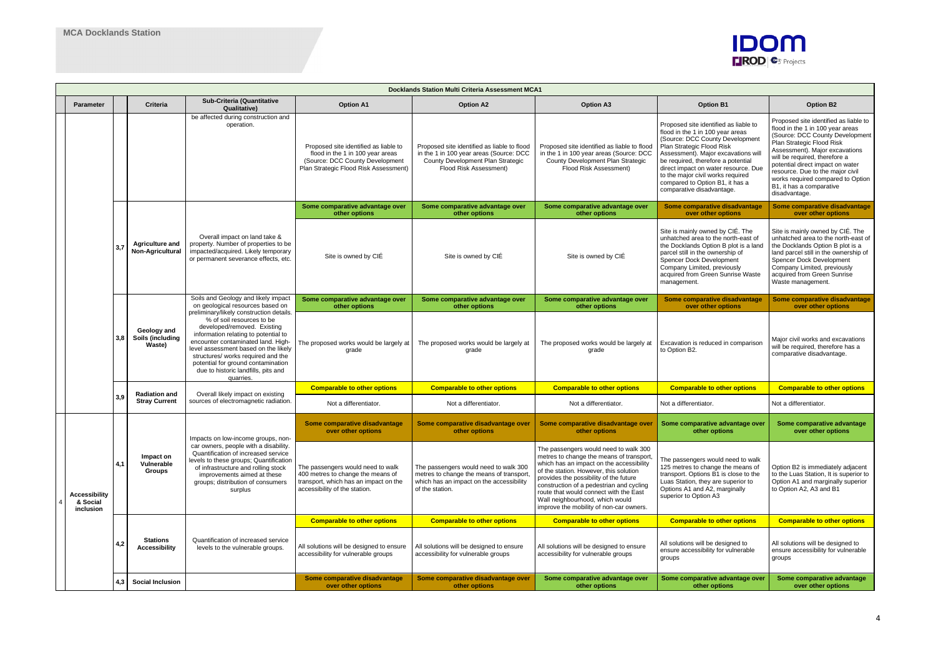| <b>Docklands Station Multi Criteria Assessment MCA1</b> |                                               |            |                                                   |                                                                                                                                                                                                                                                                                                                                                                                                                                       |                                                                                                                                                       |                                                                                                                                                       |                                                                                                                                                                                                                                                                                                                                                                                       |                                                                                                                                                                                                                                                                                                                                                                     |                                                                                                                                                                                                                                                                                                                                                                        |
|---------------------------------------------------------|-----------------------------------------------|------------|---------------------------------------------------|---------------------------------------------------------------------------------------------------------------------------------------------------------------------------------------------------------------------------------------------------------------------------------------------------------------------------------------------------------------------------------------------------------------------------------------|-------------------------------------------------------------------------------------------------------------------------------------------------------|-------------------------------------------------------------------------------------------------------------------------------------------------------|---------------------------------------------------------------------------------------------------------------------------------------------------------------------------------------------------------------------------------------------------------------------------------------------------------------------------------------------------------------------------------------|---------------------------------------------------------------------------------------------------------------------------------------------------------------------------------------------------------------------------------------------------------------------------------------------------------------------------------------------------------------------|------------------------------------------------------------------------------------------------------------------------------------------------------------------------------------------------------------------------------------------------------------------------------------------------------------------------------------------------------------------------|
|                                                         | <b>Parameter</b>                              |            | <b>Criteria</b>                                   | Sub-Criteria (Quantitative<br><b>Qualitative)</b>                                                                                                                                                                                                                                                                                                                                                                                     | <b>Option A1</b>                                                                                                                                      | <b>Option A2</b>                                                                                                                                      | <b>Option A3</b>                                                                                                                                                                                                                                                                                                                                                                      | <b>Option B1</b>                                                                                                                                                                                                                                                                                                                                                    | <b>Option B2</b>                                                                                                                                                                                                                                                                                                                                                       |
|                                                         |                                               |            |                                                   | be affected during construction and<br>operation.                                                                                                                                                                                                                                                                                                                                                                                     | Proposed site identified as liable to<br>flood in the 1 in 100 year areas<br>(Source: DCC County Development<br>Plan Strategic Flood Risk Assessment) | Proposed site identified as liable to flood<br>in the 1 in 100 year areas (Source: DCC<br>County Development Plan Strategic<br>Flood Risk Assessment) | Proposed site identified as liable to flood<br>in the 1 in 100 year areas (Source: DCC<br>County Development Plan Strategic<br>Flood Risk Assessment)                                                                                                                                                                                                                                 | Proposed site identified as liable to<br>flood in the 1 in 100 year areas<br>(Source: DCC County Development<br>Plan Strategic Flood Risk<br>Assessment). Major excavations will<br>be required, therefore a potential<br>direct impact on water resource. Due<br>to the major civil works required<br>compared to Option B1, it has a<br>comparative disadvantage. | Proposed site identified as liable to<br>flood in the 1 in 100 year areas<br>(Source: DCC County Development<br>Plan Strategic Flood Risk<br>Assessment). Major excavations<br>will be required, therefore a<br>potential direct impact on water<br>resource. Due to the major civil<br>works required compared to Option<br>B1, it has a comparative<br>disadvantage. |
|                                                         |                                               |            |                                                   |                                                                                                                                                                                                                                                                                                                                                                                                                                       | Some comparative advantage over<br>other options                                                                                                      | Some comparative advantage over<br>other options                                                                                                      | Some comparative advantage over<br>other options                                                                                                                                                                                                                                                                                                                                      | Some comparative disadvantage<br>over other options                                                                                                                                                                                                                                                                                                                 | Some comparative disadvantage<br>over other options                                                                                                                                                                                                                                                                                                                    |
|                                                         |                                               | 3.7        | <b>Agriculture and</b><br><b>Non-Agricultural</b> | Overall impact on land take &<br>property. Number of properties to be<br>impacted/acquired. Likely temporary<br>or permanent severance effects, etc.                                                                                                                                                                                                                                                                                  | Site is owned by CIÉ                                                                                                                                  | Site is owned by CIÉ                                                                                                                                  | Site is owned by CIÉ                                                                                                                                                                                                                                                                                                                                                                  | Site is mainly owned by CIÉ. The<br>unhatched area to the north-east of<br>the Docklands Option B plot is a land<br>parcel still in the ownership of<br>Spencer Dock Development<br>Company Limited, previously<br>acquired from Green Sunrise Waste<br>management.                                                                                                 | Site is mainly owned by CIÉ. The<br>unhatched area to the north-east of<br>the Docklands Option B plot is a<br>land parcel still in the ownership of<br>Spencer Dock Development<br>Company Limited, previously<br>acquired from Green Sunrise<br>Waste management.                                                                                                    |
|                                                         |                                               |            |                                                   | Soils and Geology and likely impact<br>on geological resources based on<br>preliminary/likely construction details.<br>% of soil resources to be<br>developed/removed. Existing<br>information relating to potential to<br>encounter contaminated land. High-<br>level assessment based on the likely<br>structures/ works required and the<br>potential for ground contamination<br>due to historic landfills, pits and<br>quarries. | Some comparative advantage over<br>other options                                                                                                      | Some comparative advantage over<br>other options                                                                                                      | Some comparative advantage over<br>other options                                                                                                                                                                                                                                                                                                                                      | Some comparative disadvantage<br>over other options                                                                                                                                                                                                                                                                                                                 | Some comparative disadvantage<br>over other options                                                                                                                                                                                                                                                                                                                    |
|                                                         |                                               | 3.8        | Geology and<br>Soils (including<br>Waste)         |                                                                                                                                                                                                                                                                                                                                                                                                                                       | The proposed works would be largely at<br>grade                                                                                                       | The proposed works would be largely at<br>grade                                                                                                       | The proposed works would be largely at<br>grade                                                                                                                                                                                                                                                                                                                                       | Excavation is reduced in comparison<br>to Option B2.                                                                                                                                                                                                                                                                                                                | Major civil works and excavations<br>will be required, therefore has a<br>comparative disadvantage.                                                                                                                                                                                                                                                                    |
|                                                         |                                               |            | <b>Radiation and</b>                              | Overall likely impact on existing                                                                                                                                                                                                                                                                                                                                                                                                     | <b>Comparable to other options</b>                                                                                                                    | <b>Comparable to other options</b>                                                                                                                    | <b>Comparable to other options</b>                                                                                                                                                                                                                                                                                                                                                    | <b>Comparable to other options</b>                                                                                                                                                                                                                                                                                                                                  | <b>Comparable to other options</b>                                                                                                                                                                                                                                                                                                                                     |
|                                                         |                                               | 3.9        | <b>Stray Current</b>                              | sources of electromagnetic radiation.                                                                                                                                                                                                                                                                                                                                                                                                 | Not a differentiator.                                                                                                                                 | Not a differentiator.                                                                                                                                 | Not a differentiator.                                                                                                                                                                                                                                                                                                                                                                 | Not a differentiator.                                                                                                                                                                                                                                                                                                                                               | Not a differentiator.                                                                                                                                                                                                                                                                                                                                                  |
|                                                         |                                               |            |                                                   | Impacts on low-income groups, non-                                                                                                                                                                                                                                                                                                                                                                                                    | Some comparative disadvantage<br>over other options                                                                                                   | Some comparative disadvantage over<br>other options                                                                                                   | Some comparative disadvantage over<br>other options                                                                                                                                                                                                                                                                                                                                   | Some comparative advantage over<br>other options                                                                                                                                                                                                                                                                                                                    | Some comparative advantage<br>over other options                                                                                                                                                                                                                                                                                                                       |
|                                                         | <b>Accessibility</b><br>& Social<br>inclusion | -4.1       | Impact on<br>Vulnerable<br><b>Groups</b>          | car owners, people with a disability.<br>Quantification of increased service<br>levels to these groups; Quantification<br>of infrastructure and rolling stock<br>improvements aimed at these<br>groups; distribution of consumers<br>surplus                                                                                                                                                                                          | The passengers would need to walk<br>400 metres to change the means of<br>transport, which has an impact on the<br>accessibility of the station.      | The passengers would need to walk 300<br>metres to change the means of transport,<br>which has an impact on the accessibility<br>of the station.      | The passengers would need to walk 300<br>metres to change the means of transport,<br>which has an impact on the accessibility<br>of the station. However, this solution<br>provides the possibility of the future<br>construction of a pedestrian and cycling<br>route that would connect with the East<br>Wall neighbourhood, which would<br>improve the mobility of non-car owners. | The passengers would need to walk<br>125 metres to change the means of<br>transport. Options B1 is close to the<br>Luas Station, they are superior to<br>Options A1 and A2, marginally<br>superior to Option A3                                                                                                                                                     | Option B2 is immediately adjacent<br>to the Luas Station, It is superior to<br>Option A1 and marginally superior<br>to Option A2, A3 and B1                                                                                                                                                                                                                            |
|                                                         |                                               |            |                                                   |                                                                                                                                                                                                                                                                                                                                                                                                                                       | <b>Comparable to other options</b>                                                                                                                    | <b>Comparable to other options</b>                                                                                                                    | <b>Comparable to other options</b>                                                                                                                                                                                                                                                                                                                                                    | <b>Comparable to other options</b>                                                                                                                                                                                                                                                                                                                                  | <b>Comparable to other options</b>                                                                                                                                                                                                                                                                                                                                     |
|                                                         |                                               | 4.2<br>4,3 | <b>Stations</b><br><b>Accessibility</b>           | Quantification of increased service<br>levels to the vulnerable groups.                                                                                                                                                                                                                                                                                                                                                               | All solutions will be designed to ensure<br>accessibility for vulnerable groups                                                                       | All solutions will be designed to ensure<br>accessibility for vulnerable groups                                                                       | All solutions will be designed to ensure<br>accessibility for vulnerable groups                                                                                                                                                                                                                                                                                                       | All solutions will be designed to<br>ensure accessibility for vulnerable<br>groups                                                                                                                                                                                                                                                                                  | All solutions will be designed to<br>ensure accessibility for vulnerable<br>groups                                                                                                                                                                                                                                                                                     |
|                                                         |                                               |            | <b>Social Inclusion</b>                           |                                                                                                                                                                                                                                                                                                                                                                                                                                       | Some comparative disadvantage<br>over other options                                                                                                   | Some comparative disadvantage over<br>other options                                                                                                   | Some comparative advantage over<br>other options                                                                                                                                                                                                                                                                                                                                      | Some comparative advantage over<br>other options                                                                                                                                                                                                                                                                                                                    | Some comparative advantage<br>over other options                                                                                                                                                                                                                                                                                                                       |

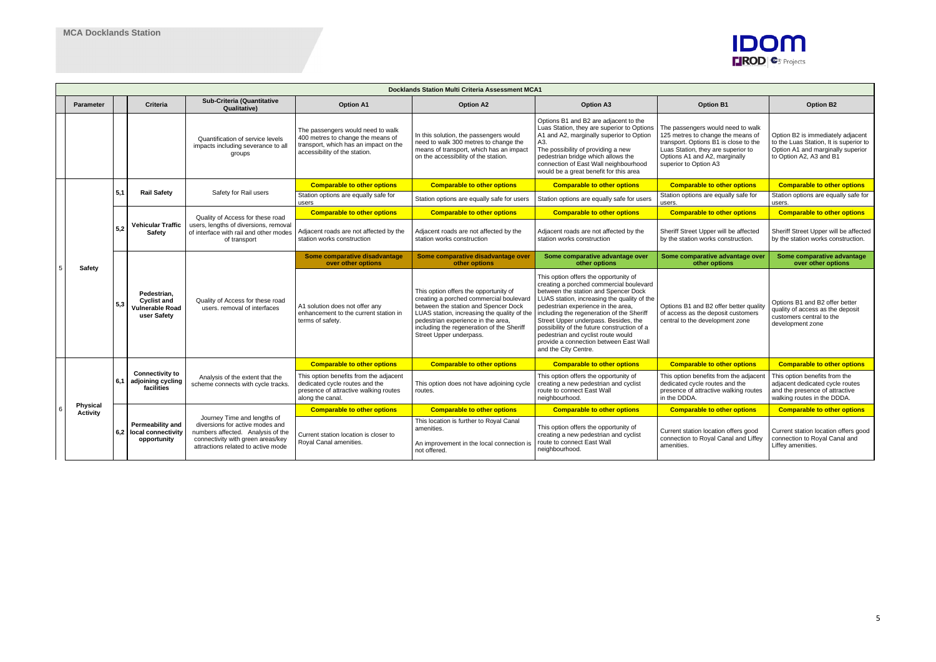|  |                                    | <b>Docklands Station Multi Criteria Assessment MCA1</b> |                                                                     |                                                                                                                                                                                |                                                                                                                                                  |                                                                                                                                                                                                                                                                                       |                                                                                                                                                                                                                                                                                                                                                                                                                                                           |                                                                                                                                                                                                                 |                                                                                                                                             |  |  |
|--|------------------------------------|---------------------------------------------------------|---------------------------------------------------------------------|--------------------------------------------------------------------------------------------------------------------------------------------------------------------------------|--------------------------------------------------------------------------------------------------------------------------------------------------|---------------------------------------------------------------------------------------------------------------------------------------------------------------------------------------------------------------------------------------------------------------------------------------|-----------------------------------------------------------------------------------------------------------------------------------------------------------------------------------------------------------------------------------------------------------------------------------------------------------------------------------------------------------------------------------------------------------------------------------------------------------|-----------------------------------------------------------------------------------------------------------------------------------------------------------------------------------------------------------------|---------------------------------------------------------------------------------------------------------------------------------------------|--|--|
|  | <b>Parameter</b>                   |                                                         | <b>Criteria</b>                                                     | <b>Sub-Criteria (Quantitative</b><br><b>Qualitative)</b>                                                                                                                       | <b>Option A1</b>                                                                                                                                 | <b>Option A2</b>                                                                                                                                                                                                                                                                      | <b>Option A3</b>                                                                                                                                                                                                                                                                                                                                                                                                                                          | <b>Option B1</b>                                                                                                                                                                                                | <b>Option B2</b>                                                                                                                            |  |  |
|  |                                    |                                                         |                                                                     | Quantification of service levels<br>impacts including severance to all<br>groups                                                                                               | The passengers would need to walk<br>400 metres to change the means of<br>transport, which has an impact on the<br>accessibility of the station. | In this solution, the passengers would<br>need to walk 300 metres to change the<br>means of transport, which has an impact<br>on the accessibility of the station.                                                                                                                    | Options B1 and B2 are adjacent to the<br>Luas Station, they are superior to Options<br>A1 and A2, marginally superior to Option<br>A3.<br>The possibility of providing a new<br>pedestrian bridge which allows the<br>connection of East Wall neighbourhood<br>would be a great benefit for this area                                                                                                                                                     | The passengers would need to walk<br>125 metres to change the means of<br>transport. Options B1 is close to the<br>Luas Station, they are superior to<br>Options A1 and A2, marginally<br>superior to Option A3 | Option B2 is immediately adjacent<br>to the Luas Station, It is superior to<br>Option A1 and marginally superior<br>to Option A2, A3 and B1 |  |  |
|  |                                    |                                                         |                                                                     |                                                                                                                                                                                | <b>Comparable to other options</b>                                                                                                               | <b>Comparable to other options</b>                                                                                                                                                                                                                                                    | <b>Comparable to other options</b>                                                                                                                                                                                                                                                                                                                                                                                                                        | <b>Comparable to other options</b>                                                                                                                                                                              | <b>Comparable to other options</b>                                                                                                          |  |  |
|  |                                    | 5,1                                                     | <b>Rail Safety</b>                                                  | Safety for Rail users                                                                                                                                                          | Station options are equally safe for<br>users                                                                                                    | Station options are equally safe for users                                                                                                                                                                                                                                            | Station options are equally safe for users                                                                                                                                                                                                                                                                                                                                                                                                                | Station options are equally safe for<br>users.                                                                                                                                                                  | Station options are equally safe for<br>users.                                                                                              |  |  |
|  |                                    |                                                         |                                                                     | Quality of Access for these road                                                                                                                                               | <b>Comparable to other options</b>                                                                                                               | <b>Comparable to other options</b>                                                                                                                                                                                                                                                    | <b>Comparable to other options</b>                                                                                                                                                                                                                                                                                                                                                                                                                        | <b>Comparable to other options</b>                                                                                                                                                                              | <b>Comparable to other options</b>                                                                                                          |  |  |
|  | Safety                             | 5,2                                                     | <b>Vehicular Traffic</b><br>Safety                                  | users, lengths of diversions, removal<br>of interface with rail and other modes<br>of transport                                                                                | Adjacent roads are not affected by the<br>station works construction                                                                             | Adjacent roads are not affected by the<br>station works construction                                                                                                                                                                                                                  | Adjacent roads are not affected by the<br>station works construction                                                                                                                                                                                                                                                                                                                                                                                      | Sheriff Street Upper will be affected<br>by the station works construction.                                                                                                                                     | Sheriff Street Upper will be affected<br>by the station works construction.                                                                 |  |  |
|  |                                    |                                                         |                                                                     |                                                                                                                                                                                | Some comparative disadvantage<br>over other options                                                                                              | Some comparative disadvantage over<br>other options                                                                                                                                                                                                                                   | Some comparative advantage over<br>other options                                                                                                                                                                                                                                                                                                                                                                                                          | Some comparative advantage over<br>other options                                                                                                                                                                | Some comparative advantage<br>over other options                                                                                            |  |  |
|  |                                    | 5.3                                                     | Pedestrian.<br><b>Cyclist and</b><br>Vulnerable Road<br>user Safety | Quality of Access for these road<br>users, removal of interfaces                                                                                                               | A1 solution does not offer any<br>enhancement to the current station in<br>terms of safety.                                                      | This option offers the opportunity of<br>creating a porched commercial boulevard<br>between the station and Spencer Dock<br>LUAS station, increasing the quality of the<br>pedestrian experience in the area.<br>including the regeneration of the Sheriff<br>Street Upper underpass. | This option offers the opportunity of<br>creating a porched commercial boulevard<br>between the station and Spencer Dock<br>LUAS station, increasing the quality of the<br>pedestrian experience in the area,<br>including the regeneration of the Sheriff<br>Street Upper underpass. Besides, the<br>possibility of the future construction of a<br>pedestrian and cyclist route would<br>provide a connection between East Wall<br>and the City Centre. | Options B1 and B2 offer better quality<br>of access as the deposit customers<br>central to the development zone                                                                                                 | Options B1 and B2 offer better<br>quality of access as the deposit<br>customers central to the<br>development zone                          |  |  |
|  |                                    |                                                         |                                                                     |                                                                                                                                                                                | <b>Comparable to other options</b>                                                                                                               | <b>Comparable to other options</b>                                                                                                                                                                                                                                                    | <b>Comparable to other options</b>                                                                                                                                                                                                                                                                                                                                                                                                                        | <b>Comparable to other options</b>                                                                                                                                                                              | <b>Comparable to other options</b>                                                                                                          |  |  |
|  |                                    | 6,1                                                     | <b>Connectivity to</b><br>adjoining cycling<br>facilities           | Analysis of the extent that the<br>scheme connects with cycle tracks                                                                                                           | This option benefits from the adjacent<br>dedicated cycle routes and the<br>presence of attractive walking routes<br>along the canal.            | This option does not have adjoining cycle<br>routes.                                                                                                                                                                                                                                  | This option offers the opportunity of<br>creating a new pedestrian and cyclist<br>route to connect East Wall<br>neighbourhood.                                                                                                                                                                                                                                                                                                                            | This option benefits from the adjacent<br>dedicated cycle routes and the<br>presence of attractive walking routes<br>in the DDDA.                                                                               | This option benefits from the<br>adjacent dedicated cycle routes<br>and the presence of attractive<br>walking routes in the DDDA.           |  |  |
|  | <b>Physical</b><br><b>Activity</b> |                                                         |                                                                     |                                                                                                                                                                                | <b>Comparable to other options</b>                                                                                                               | <b>Comparable to other options</b>                                                                                                                                                                                                                                                    | <b>Comparable to other options</b>                                                                                                                                                                                                                                                                                                                                                                                                                        | <b>Comparable to other options</b>                                                                                                                                                                              | <b>Comparable to other options</b>                                                                                                          |  |  |
|  |                                    | 6.2                                                     | Permeability and<br>local connectivity<br>opportunity               | Journey Time and lengths of<br>diversions for active modes and<br>numbers affected. Analysis of the<br>connectivity with green areas/key<br>attractions related to active mode | Current station location is closer to<br>Royal Canal amenities.                                                                                  | This location is further to Royal Canal<br>amenities.<br>An improvement in the local connection is<br>not offered.                                                                                                                                                                    | This option offers the opportunity of<br>creating a new pedestrian and cyclist<br>route to connect East Wall<br>neighbourhood.                                                                                                                                                                                                                                                                                                                            | Current station location offers good<br>connection to Royal Canal and Liffey<br>amenities.                                                                                                                      | Current station location offers good<br>connection to Royal Canal and<br>Liffey amenities.                                                  |  |  |

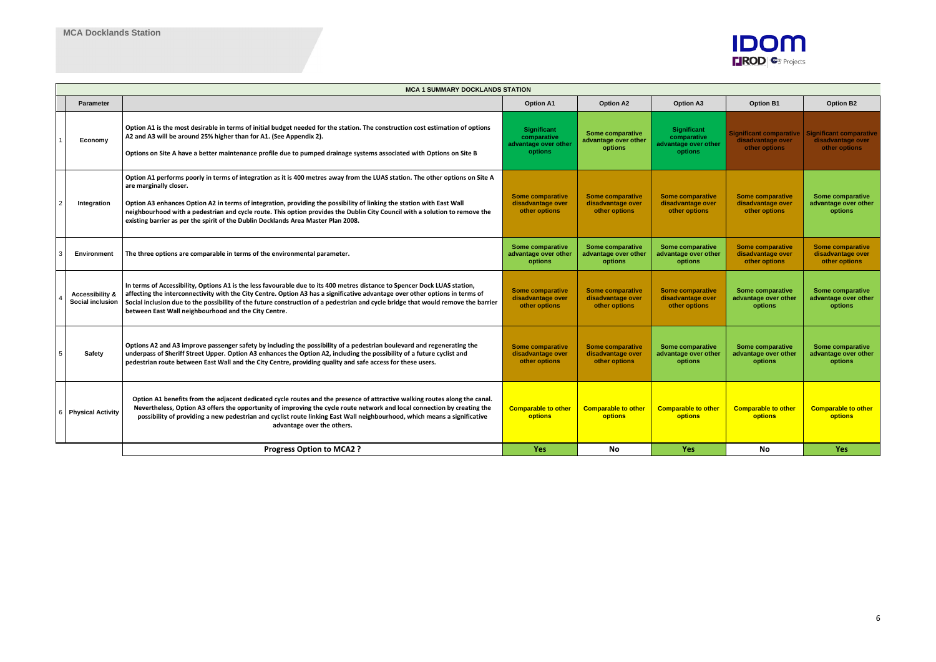|                                                       | <b>MCA 1 SUMMARY DOCKLANDS STATION</b>                                                                                                                                                                                                                                                                                                                                                                                                                                                               |                                                                      |                                                               |                                                                      |                                                               |                                                                      |  |  |  |  |  |
|-------------------------------------------------------|------------------------------------------------------------------------------------------------------------------------------------------------------------------------------------------------------------------------------------------------------------------------------------------------------------------------------------------------------------------------------------------------------------------------------------------------------------------------------------------------------|----------------------------------------------------------------------|---------------------------------------------------------------|----------------------------------------------------------------------|---------------------------------------------------------------|----------------------------------------------------------------------|--|--|--|--|--|
| <b>Parameter</b>                                      |                                                                                                                                                                                                                                                                                                                                                                                                                                                                                                      | <b>Option A1</b>                                                     | <b>Option A2</b>                                              | <b>Option A3</b>                                                     | <b>Option B1</b>                                              | <b>Option B2</b>                                                     |  |  |  |  |  |
| Economy                                               | Option A1 is the most desirable in terms of initial budget needed for the station. The construction cost estimation of options<br>A2 and A3 will be around 25% higher than for A1. (See Appendix 2).<br>Options on Site A have a better maintenance profile due to pumped drainage systems associated with Options on Site B                                                                                                                                                                         | <b>Significant</b><br>comparative<br>advantage over other<br>options | Some comparative<br>advantage over other<br>options           | <b>Significant</b><br>comparative<br>advantage over other<br>options | Significant comparative<br>disadvantage over<br>other options | <b>Significant comparative</b><br>disadvantage over<br>other options |  |  |  |  |  |
| Integration                                           | Option A1 performs poorly in terms of integration as it is 400 metres away from the LUAS station. The other options on Site A<br>are marginally closer.<br>Option A3 enhances Option A2 in terms of integration, providing the possibility of linking the station with East Wall<br>neighbourhood with a pedestrian and cycle route. This option provides the Dublin City Council with a solution to remove the<br>existing barrier as per the spirit of the Dublin Docklands Area Master Plan 2008. | <b>Some comparative</b><br>disadvantage over<br>other options        | <b>Some comparative</b><br>disadvantage over<br>other options | <b>Some comparative</b><br>disadvantage over<br>other options        | <b>Some comparative</b><br>disadvantage over<br>other options | Some comparative<br>advantage over other<br>options                  |  |  |  |  |  |
| <b>Environment</b>                                    | The three options are comparable in terms of the environmental parameter.                                                                                                                                                                                                                                                                                                                                                                                                                            | Some comparative<br>advantage over other<br>options                  | Some comparative<br>advantage over other<br>options           | Some comparative<br>advantage over other<br>options                  | <b>Some comparative</b><br>disadvantage over<br>other options | <b>Some comparative</b><br>disadvantage over<br>other options        |  |  |  |  |  |
| <b>Accessibility &amp;</b><br><b>Social inclusion</b> | In terms of Accessibility, Options A1 is the less favourable due to its 400 metres distance to Spencer Dock LUAS station,<br>affecting the interconnectivity with the City Centre. Option A3 has a significative advantage over other options in terms of<br>Social inclusion due to the possibility of the future construction of a pedestrian and cycle bridge that would remove the barrier<br>between East Wall neighbourhood and the City Centre.                                               | <b>Some comparative</b><br>disadvantage over<br>other options        | <b>Some comparative</b><br>disadvantage over<br>other options | <b>Some comparative</b><br>disadvantage over<br>other options        | Some comparative<br>advantage over other<br>options           | Some comparative<br>advantage over other<br>options                  |  |  |  |  |  |
| Safety                                                | Options A2 and A3 improve passenger safety by including the possibility of a pedestrian boulevard and regenerating the<br>underpass of Sheriff Street Upper. Option A3 enhances the Option A2, including the possibility of a future cyclist and<br>pedestrian route between East Wall and the City Centre, providing quality and safe access for these users.                                                                                                                                       | <b>Some comparative</b><br>disadvantage over<br>other options        | <b>Some comparative</b><br>disadvantage over<br>other options | Some comparative<br>advantage over other<br>options                  | Some comparative<br>advantage over other<br>options           | Some comparative<br>advantage over other<br>options                  |  |  |  |  |  |
| <b>Physical Activity</b>                              | Option A1 benefits from the adjacent dedicated cycle routes and the presence of attractive walking routes along the canal.<br>Nevertheless, Option A3 offers the opportunity of improving the cycle route network and local connection by creating the<br>possibility of providing a new pedestrian and cyclist route linking East Wall neighbourhood, which means a significative<br>advantage over the others.                                                                                     | <b>Comparable to other</b><br>options                                | <b>Comparable to other</b><br><b>options</b>                  | <b>Comparable to other</b><br>options                                | <b>Comparable to other</b><br><b>options</b>                  | <b>Comparable to other</b><br><b>options</b>                         |  |  |  |  |  |
|                                                       | <b>Progress Option to MCA2?</b>                                                                                                                                                                                                                                                                                                                                                                                                                                                                      | <b>Yes</b>                                                           | No                                                            | <b>Yes</b>                                                           | No.                                                           | <b>Yes</b>                                                           |  |  |  |  |  |

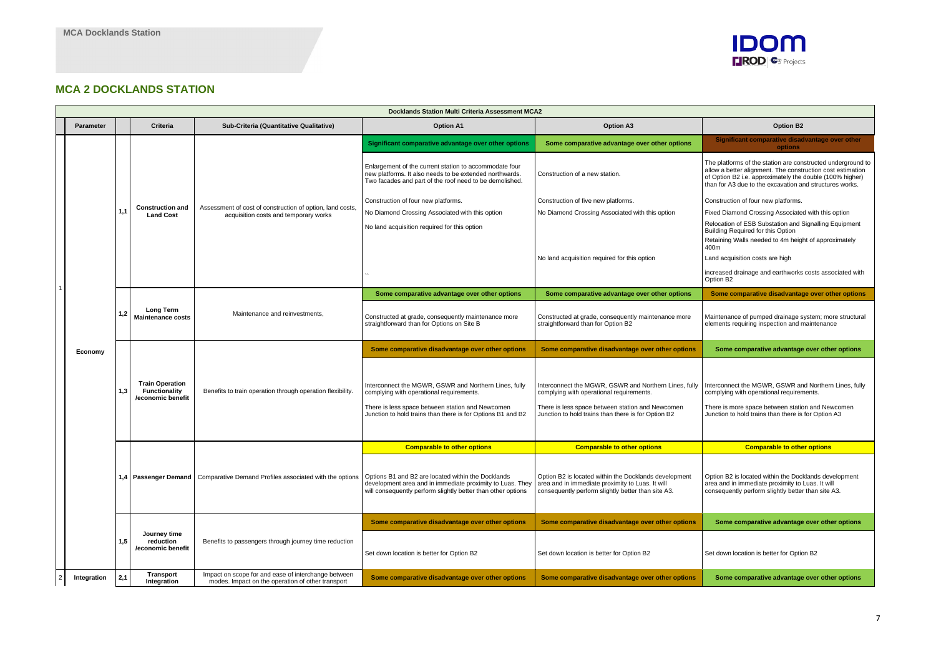## **MCA 2 DOCKLANDS STATION**

| <b>Docklands Station Multi Criteria Assessment MCA2</b> |                  |     |                                                              |                                                                                                          |                                                                                                                                                                                                                                  |                                                                                                                                                                                                              |                                                                                                                                                                                                           |  |
|---------------------------------------------------------|------------------|-----|--------------------------------------------------------------|----------------------------------------------------------------------------------------------------------|----------------------------------------------------------------------------------------------------------------------------------------------------------------------------------------------------------------------------------|--------------------------------------------------------------------------------------------------------------------------------------------------------------------------------------------------------------|-----------------------------------------------------------------------------------------------------------------------------------------------------------------------------------------------------------|--|
|                                                         | <b>Parameter</b> |     | Criteria                                                     | Sub-Criteria (Quantitative Qualitative)                                                                  | <b>Option A1</b>                                                                                                                                                                                                                 | <b>Option A3</b>                                                                                                                                                                                             | <b>Option B2</b>                                                                                                                                                                                          |  |
|                                                         |                  |     |                                                              |                                                                                                          | Significant comparative advantage over other options                                                                                                                                                                             | Some comparative advantage over other options                                                                                                                                                                | <b>Significant comparative disad</b><br>options                                                                                                                                                           |  |
|                                                         |                  |     |                                                              |                                                                                                          | Enlargement of the current station to accommodate four<br>new platforms. It also needs to be extended northwards.<br>Two facades and part of the roof need to be demolished.                                                     | Construction of a new station.                                                                                                                                                                               | The platforms of the station are cor<br>allow a better alignment. The const<br>of Option B2 i.e. approximately the<br>than for A3 due to the excavation a                                                 |  |
|                                                         |                  |     | <b>Construction and</b><br><b>Land Cost</b>                  |                                                                                                          | Construction of four new platforms.                                                                                                                                                                                              | Construction of five new platforms.                                                                                                                                                                          | Construction of four new platforms.                                                                                                                                                                       |  |
|                                                         |                  | 1.1 |                                                              | Assessment of cost of construction of option, land costs,<br>acquisition costs and temporary works       | No Diamond Crossing Associated with this option                                                                                                                                                                                  | No Diamond Crossing Associated with this option                                                                                                                                                              | <b>Fixed Diamond Crossing Associate</b>                                                                                                                                                                   |  |
|                                                         |                  |     |                                                              |                                                                                                          | No land acquisition required for this option                                                                                                                                                                                     | No land acquisition required for this option                                                                                                                                                                 | Relocation of ESB Substation and 9<br>Building Required for this Option<br>Retaining Walls needed to 4m heig<br>400m<br>Land acquisition costs are high<br>increased drainage and earthworks<br>Option B2 |  |
|                                                         |                  |     |                                                              |                                                                                                          | Some comparative advantage over other options                                                                                                                                                                                    | Some comparative advantage over other options                                                                                                                                                                | Some comparative disadvanta                                                                                                                                                                               |  |
|                                                         |                  | 1,2 | Long Term<br><b>Maintenance costs</b>                        | Maintenance and reinvestments,                                                                           | Constructed at grade, consequently maintenance more<br>straightforward than for Options on Site B                                                                                                                                | Constructed at grade, consequently maintenance more<br>straightforward than for Option B2                                                                                                                    | Maintenance of pumped drainage s<br>elements requiring inspection and r                                                                                                                                   |  |
|                                                         | Economy          |     |                                                              |                                                                                                          | Some comparative disadvantage over other options                                                                                                                                                                                 | Some comparative disadvantage over other options                                                                                                                                                             | Some comparative advantage                                                                                                                                                                                |  |
|                                                         |                  | 1,3 | <b>Train Operation</b><br>Functionality<br>/economic benefit | Benefits to train operation through operation flexibility.                                               | Interconnect the MGWR, GSWR and Northern Lines, fully<br>complying with operational requirements.<br>There is less space between station and Newcomen<br>Junction to hold trains than there is for Options B1 and B2             | Interconnect the MGWR, GSWR and Northern Lines, fully<br>complying with operational requirements.<br>There is less space between station and Newcomen<br>Junction to hold trains than there is for Option B2 | Interconnect the MGWR, GSWR ar<br>complying with operational requirer<br>There is more space between station<br>Junction to hold trains than there is                                                     |  |
|                                                         |                  |     |                                                              |                                                                                                          | <b>Comparable to other options</b>                                                                                                                                                                                               | <b>Comparable to other options</b>                                                                                                                                                                           | <b>Comparable to other</b>                                                                                                                                                                                |  |
|                                                         |                  |     |                                                              | 1,4   Passenger Demand   Comparative Demand Profiles associated with the options                         | Options B1 and B2 are located within the Docklands<br>development area and in immediate proximity to Luas. They area and in immediate proximity to Luas. It will<br>will consequently perform slightly better than other options | Option B2 is located within the Docklands development<br>consequently perform slightly better than site A3.                                                                                                  | Option B2 is located within the Doc<br>area and in immediate proximity to<br>consequently perform slightly bette                                                                                          |  |
|                                                         |                  |     |                                                              |                                                                                                          | Some comparative disadvantage over other options                                                                                                                                                                                 | Some comparative disadvantage over other options                                                                                                                                                             | Some comparative advantage                                                                                                                                                                                |  |
|                                                         |                  | 1,5 | Journey time<br>reduction<br>/economic benefit               | Benefits to passengers through journey time reduction                                                    | Set down location is better for Option B2                                                                                                                                                                                        | Set down location is better for Option B2                                                                                                                                                                    | Set down location is better for Option                                                                                                                                                                    |  |
|                                                         | Integration      | 2,1 | Transport<br>Integration                                     | Impact on scope for and ease of interchange between<br>modes. Impact on the operation of other transport | Some comparative disadvantage over other options                                                                                                                                                                                 | Some comparative disadvantage over other options                                                                                                                                                             | Some comparative advantage                                                                                                                                                                                |  |



# **Significant comparative disadvantage over other options** The platforms of the station are constructed underground to allow a better alignment. The construction cost estimation of Option B2 i.e. approximately the double (100% higher) than for A3 due to the excavation and structures works. Construction of four new platforms. Fixed Diamond Crossing Associated with this option Relocation of ESB Substation and Signalling Equipment Building Required for this Option Retaining Walls needed to 4m height of approximately 400m Land acquisition costs are high increased drainage and earthworks costs associated with Option B2 **Some comparative disadvantage over other options** Maintenance of pumped drainage system; more structural elements requiring inspection and maintenance **Some comparative advantage over other options** Interconnect the MGWR, GSWR and Northern Lines, fully complying with operational requirements. There is more space between station and Newcomen Junction to hold trains than there is for Option A3 **Comparable to other options** Option B2 is located within the Docklands development area and in immediate proximity to Luas. It will consequently perform slightly better than site A3. **Some comparative advantage over other options** Set down location is better for Option B2

**Some comparative advantage over other options**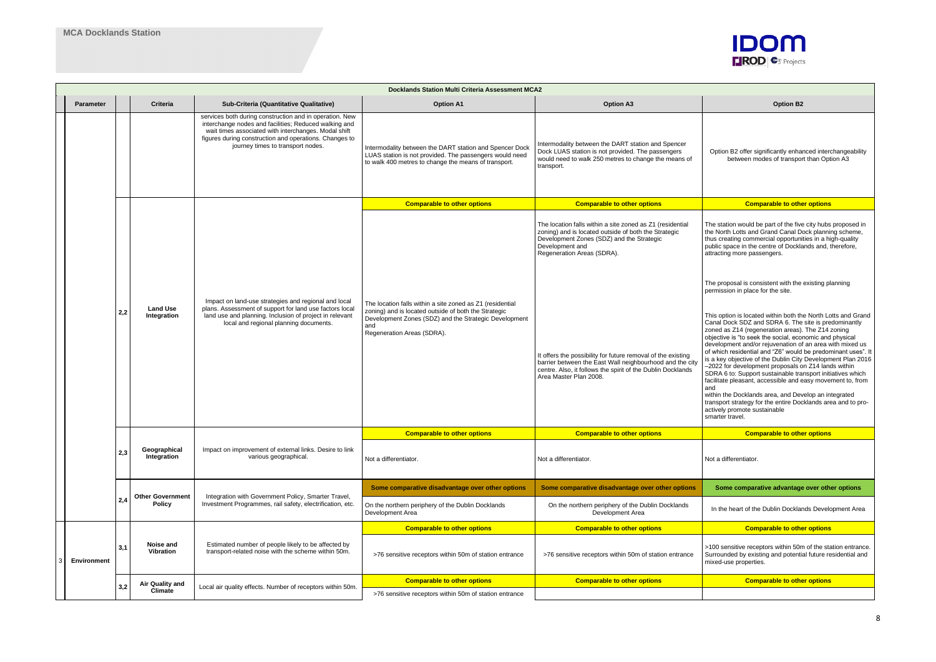|                    | <b>Docklands Station Multi Criteria Assessment MCA2</b> |                                          |                                                                                                                                                                                                                                                                         |                                                                                                                                                                                                                 |                                                                                                                                                                                                                   |                                                                                                                                                                                                                                                                                                                                                                                                                                                                                                                                                                                                                                                                                                                                                                                                      |  |  |  |  |
|--------------------|---------------------------------------------------------|------------------------------------------|-------------------------------------------------------------------------------------------------------------------------------------------------------------------------------------------------------------------------------------------------------------------------|-----------------------------------------------------------------------------------------------------------------------------------------------------------------------------------------------------------------|-------------------------------------------------------------------------------------------------------------------------------------------------------------------------------------------------------------------|------------------------------------------------------------------------------------------------------------------------------------------------------------------------------------------------------------------------------------------------------------------------------------------------------------------------------------------------------------------------------------------------------------------------------------------------------------------------------------------------------------------------------------------------------------------------------------------------------------------------------------------------------------------------------------------------------------------------------------------------------------------------------------------------------|--|--|--|--|
| <b>Parameter</b>   |                                                         | <b>Criteria</b>                          | Sub-Criteria (Quantitative Qualitative)                                                                                                                                                                                                                                 | <b>Option A1</b>                                                                                                                                                                                                | <b>Option A3</b>                                                                                                                                                                                                  | <b>Option B2</b>                                                                                                                                                                                                                                                                                                                                                                                                                                                                                                                                                                                                                                                                                                                                                                                     |  |  |  |  |
|                    |                                                         |                                          | services both during construction and in operation. New<br>interchange nodes and facilities; Reduced walking and<br>wait times associated with interchanges. Modal shift<br>figures during construction and operations. Changes to<br>journey times to transport nodes. | Intermodality between the DART station and Spencer Dock<br>LUAS station is not provided. The passengers would need<br>to walk 400 metres to change the means of transport.                                      | Intermodality between the DART station and Spencer<br>Dock LUAS station is not provided. The passengers<br>would need to walk 250 metres to change the means of<br>transport.                                     | Option B2 offer significantly enhanced interchangeability<br>between modes of transport than Option A3                                                                                                                                                                                                                                                                                                                                                                                                                                                                                                                                                                                                                                                                                               |  |  |  |  |
|                    |                                                         |                                          | Impact on land-use strategies and regional and local<br>plans. Assessment of support for land use factors local<br>land use and planning. Inclusion of project in relevant<br>local and regional planning documents.                                                    | <b>Comparable to other options</b>                                                                                                                                                                              | <b>Comparable to other options</b>                                                                                                                                                                                | <b>Comparable to other options</b>                                                                                                                                                                                                                                                                                                                                                                                                                                                                                                                                                                                                                                                                                                                                                                   |  |  |  |  |
|                    |                                                         |                                          |                                                                                                                                                                                                                                                                         |                                                                                                                                                                                                                 | The location falls within a site zoned as Z1 (residential<br>zoning) and is located outside of both the Strategic<br>Development Zones (SDZ) and the Strategic<br>Development and<br>Regeneration Areas (SDRA).   | The station would be part of the five city hubs proposed in<br>the North Lotts and Grand Canal Dock planning scheme,<br>thus creating commercial opportunities in a high-quality<br>public space in the centre of Docklands and, therefore,<br>attracting more passengers.                                                                                                                                                                                                                                                                                                                                                                                                                                                                                                                           |  |  |  |  |
|                    |                                                         | <b>Land Use</b><br>Integration           |                                                                                                                                                                                                                                                                         |                                                                                                                                                                                                                 |                                                                                                                                                                                                                   | The proposal is consistent with the existing planning<br>permission in place for the site.                                                                                                                                                                                                                                                                                                                                                                                                                                                                                                                                                                                                                                                                                                           |  |  |  |  |
|                    | 2,2                                                     |                                          |                                                                                                                                                                                                                                                                         | The location falls within a site zoned as Z1 (residential<br>zoning) and is located outside of both the Strategic<br>Development Zones (SDZ) and the Strategic Development<br>and<br>Regeneration Areas (SDRA). | It offers the possibility for future removal of the existing<br>barrier between the East Wall neighbourhood and the city<br>centre. Also, it follows the spirit of the Dublin Docklands<br>Area Master Plan 2008. | This option is located within both the North Lotts and Grand<br>Canal Dock SDZ and SDRA 6. The site is predominantly<br>zoned as Z14 (regeneration areas). The Z14 zoning<br>objective is "to seek the social, economic and physical<br>development and/or rejuvenation of an area with mixed us<br>of which residential and "Z6" would be predominant uses". It<br>is a key objective of the Dublin City Development Plan 2016<br>-2022 for development proposals on Z14 lands within<br>SDRA 6 to: Support sustainable transport initiatives which<br>facilitate pleasant, accessible and easy movement to, from<br>and<br>within the Docklands area, and Develop an integrated<br>transport strategy for the entire Docklands area and to pro-<br>actively promote sustainable<br>smarter travel. |  |  |  |  |
|                    |                                                         |                                          |                                                                                                                                                                                                                                                                         | <b>Comparable to other options</b>                                                                                                                                                                              | <b>Comparable to other options</b>                                                                                                                                                                                | <b>Comparable to other options</b>                                                                                                                                                                                                                                                                                                                                                                                                                                                                                                                                                                                                                                                                                                                                                                   |  |  |  |  |
|                    | 2,3                                                     | Geographical<br>Integration              | Impact on improvement of external links. Desire to link<br>various geographical.                                                                                                                                                                                        | Not a differentiator.                                                                                                                                                                                           | Not a differentiator.                                                                                                                                                                                             | Not a differentiator.                                                                                                                                                                                                                                                                                                                                                                                                                                                                                                                                                                                                                                                                                                                                                                                |  |  |  |  |
|                    |                                                         |                                          |                                                                                                                                                                                                                                                                         | Some comparative disadvantage over other options                                                                                                                                                                | Some comparative disadvantage over other options                                                                                                                                                                  | Some comparative advantage over other options                                                                                                                                                                                                                                                                                                                                                                                                                                                                                                                                                                                                                                                                                                                                                        |  |  |  |  |
|                    | 2,4                                                     | <b>Other Government</b><br><b>Policy</b> | Integration with Government Policy, Smarter Travel,<br>Investment Programmes, rail safety, electrification, etc.                                                                                                                                                        | On the northern periphery of the Dublin Docklands<br>Development Area                                                                                                                                           | On the northern periphery of the Dublin Docklands<br>Development Area                                                                                                                                             | In the heart of the Dublin Docklands Development Area                                                                                                                                                                                                                                                                                                                                                                                                                                                                                                                                                                                                                                                                                                                                                |  |  |  |  |
|                    |                                                         |                                          |                                                                                                                                                                                                                                                                         | <b>Comparable to other options</b>                                                                                                                                                                              | <b>Comparable to other options</b>                                                                                                                                                                                | <b>Comparable to other options</b>                                                                                                                                                                                                                                                                                                                                                                                                                                                                                                                                                                                                                                                                                                                                                                   |  |  |  |  |
| <b>Environment</b> | 3,1                                                     | Noise and<br>Vibration                   | Estimated number of people likely to be affected by<br>transport-related noise with the scheme within 50m.                                                                                                                                                              | >76 sensitive receptors within 50m of station entrance                                                                                                                                                          | >76 sensitive receptors within 50m of station entrance                                                                                                                                                            | >100 sensitive receptors within 50m of the station entrance.<br>Surrounded by existing and potential future residential and<br>mixed-use properties.                                                                                                                                                                                                                                                                                                                                                                                                                                                                                                                                                                                                                                                 |  |  |  |  |
|                    | 3,2                                                     | <b>Air Quality and</b>                   | Local air quality effects. Number of receptors within 50m.                                                                                                                                                                                                              | <b>Comparable to other options</b>                                                                                                                                                                              | <b>Comparable to other options</b>                                                                                                                                                                                | <b>Comparable to other options</b>                                                                                                                                                                                                                                                                                                                                                                                                                                                                                                                                                                                                                                                                                                                                                                   |  |  |  |  |
|                    |                                                         | Climate                                  |                                                                                                                                                                                                                                                                         | >76 sensitive receptors within 50m of station entrance                                                                                                                                                          |                                                                                                                                                                                                                   |                                                                                                                                                                                                                                                                                                                                                                                                                                                                                                                                                                                                                                                                                                                                                                                                      |  |  |  |  |

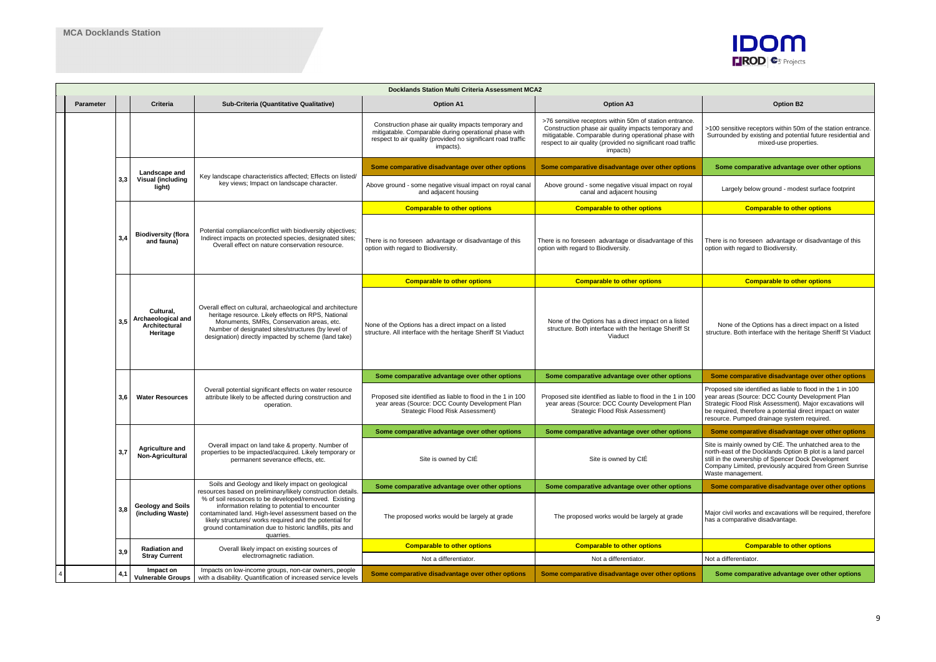>100 sensitive receptors within 50m of the station entrance. Surrounded by existing and potential future residential and mixed-use properties.

**Some comparative advantage over other options** 

Largely below ground - modest surface footprint

**Comparable to other options** 

There is no foreseen advantage or disadvantage of this option with regard to Biodiversity.

**Comparable to other options** 

Major civil works and excavations will be required, therefore has a comparative disadvantage.

**Comparable to other options** 

Some comparative advantage over other options

None of the Options has a direct impact on a listed structure. Both interface with the heritage Sheriff St Viaduct

**Some comparative disadvantage over other options** 

|                  |     |                                                              |                                                                                                                                                                                                                                                                                                      | <b>Docklands Station Multi Criteria Assessment MCA2</b>                                                                                                                                    |                                                                                                                                                                                                                                                      |                                                                                                                                                                                             |
|------------------|-----|--------------------------------------------------------------|------------------------------------------------------------------------------------------------------------------------------------------------------------------------------------------------------------------------------------------------------------------------------------------------------|--------------------------------------------------------------------------------------------------------------------------------------------------------------------------------------------|------------------------------------------------------------------------------------------------------------------------------------------------------------------------------------------------------------------------------------------------------|---------------------------------------------------------------------------------------------------------------------------------------------------------------------------------------------|
| <b>Parameter</b> |     | Criteria                                                     | Sub-Criteria (Quantitative Qualitative)                                                                                                                                                                                                                                                              | <b>Option A1</b>                                                                                                                                                                           | <b>Option A3</b>                                                                                                                                                                                                                                     | <b>Option B2</b>                                                                                                                                                                            |
|                  |     |                                                              |                                                                                                                                                                                                                                                                                                      | Construction phase air quality impacts temporary and<br>mitigatable. Comparable during operational phase with<br>respect to air quality (provided no significant road traffic<br>impacts). | >76 sensitive receptors within 50m of station entrance.<br>Construction phase air quality impacts temporary and<br>mitigatable. Comparable during operational phase with<br>respect to air quality (provided no significant road traffic<br>impacts) | >100 sensitive receptors within 50r<br>Surrounded by existing and potent<br>mixed-use prope                                                                                                 |
|                  |     | Landscape and                                                |                                                                                                                                                                                                                                                                                                      | Some comparative disadvantage over other options                                                                                                                                           | Some comparative disadvantage over other options                                                                                                                                                                                                     | Some comparative advantage                                                                                                                                                                  |
|                  | 3,3 | <b>Visual (including</b><br>light)                           | Key landscape characteristics affected; Effects on listed/<br>key views; Impact on landscape character.                                                                                                                                                                                              | Above ground - some negative visual impact on royal canal<br>and adjacent housing                                                                                                          | Above ground - some negative visual impact on royal<br>canal and adjacent housing                                                                                                                                                                    | Largely below ground - mode                                                                                                                                                                 |
|                  |     |                                                              |                                                                                                                                                                                                                                                                                                      | <b>Comparable to other options</b>                                                                                                                                                         | <b>Comparable to other options</b>                                                                                                                                                                                                                   | <b>Comparable to other</b>                                                                                                                                                                  |
|                  | 3,4 | <b>Biodiversity (flora</b><br>and fauna)                     | Potential compliance/conflict with biodiversity objectives;<br>Indirect impacts on protected species, designated sites;<br>Overall effect on nature conservation resource.                                                                                                                           | There is no foreseen advantage or disadvantage of this<br>option with regard to Biodiversity.                                                                                              | There is no foreseen advantage or disadvantage of this<br>option with regard to Biodiversity.                                                                                                                                                        | There is no foreseen advantage or<br>option with regard to Biodiversity.                                                                                                                    |
|                  |     |                                                              |                                                                                                                                                                                                                                                                                                      | <b>Comparable to other options</b>                                                                                                                                                         | <b>Comparable to other options</b>                                                                                                                                                                                                                   | <b>Comparable to other</b>                                                                                                                                                                  |
|                  | 3,5 | Cultural,<br>Archaeological and<br>Architectural<br>Heritage | Overall effect on cultural, archaeological and architecture<br>heritage resource. Likely effects on RPS, National<br>Monuments, SMRs, Conservation areas, etc.<br>Number of designated sites/structures (by level of<br>designation) directly impacted by scheme (land take)                         | None of the Options has a direct impact on a listed<br>structure. All interface with the heritage Sheriff St Viaduct                                                                       | None of the Options has a direct impact on a listed<br>structure. Both interface with the heritage Sheriff St<br>Viaduct                                                                                                                             | None of the Options has a dire<br>structure. Both interface with the he                                                                                                                     |
|                  |     |                                                              |                                                                                                                                                                                                                                                                                                      | Some comparative advantage over other options                                                                                                                                              | Some comparative advantage over other options                                                                                                                                                                                                        | Some comparative disadvanta                                                                                                                                                                 |
|                  | 3,6 | <b>Water Resources</b>                                       | Overall potential significant effects on water resource<br>attribute likely to be affected during construction and<br>operation.                                                                                                                                                                     | Proposed site identified as liable to flood in the 1 in 100<br>year areas (Source: DCC County Development Plan<br>Strategic Flood Risk Assessment)                                         | Proposed site identified as liable to flood in the 1 in 100<br>year areas (Source: DCC County Development Plan<br>Strategic Flood Risk Assessment)                                                                                                   | Proposed site identified as liable to<br>year areas (Source: DCC County D<br>Strategic Flood Risk Assessment).<br>be required, therefore a potential di<br>resource. Pumped drainage system |
|                  |     |                                                              |                                                                                                                                                                                                                                                                                                      | Some comparative advantage over other options                                                                                                                                              | Some comparative advantage over other options                                                                                                                                                                                                        | Some comparative disadvanta                                                                                                                                                                 |
|                  | 3,7 | <b>Agriculture and</b><br>Non-Agricultural                   | Overall impact on land take & property. Number of<br>properties to be impacted/acquired. Likely temporary or<br>permanent severance effects, etc.                                                                                                                                                    | Site is owned by CIÉ                                                                                                                                                                       | Site is owned by CIÉ                                                                                                                                                                                                                                 | Site is mainly owned by CIÉ. The u<br>north-east of the Docklands Option<br>still in the ownership of Spencer Do<br>Company Limited, previously acqui<br>Waste management.                  |
|                  |     |                                                              | Soils and Geology and likely impact on geological<br>resources based on preliminary/likely construction details.                                                                                                                                                                                     | Some comparative advantage over other options                                                                                                                                              | Some comparative advantage over other options                                                                                                                                                                                                        | Some comparative disadvanta                                                                                                                                                                 |
|                  | 3,8 | <b>Geology and Soils</b><br>(including Waste)                | % of soil resources to be developed/removed. Existing<br>information relating to potential to encounter<br>contaminated land. High-level assessment based on the<br>likely structures/ works required and the potential for<br>ground contamination due to historic landfills, pits and<br>quarries. | The proposed works would be largely at grade                                                                                                                                               | The proposed works would be largely at grade                                                                                                                                                                                                         | Major civil works and excavations v<br>has a comparative disadvantage.                                                                                                                      |
|                  | 3,9 | <b>Radiation and</b>                                         | Overall likely impact on existing sources of                                                                                                                                                                                                                                                         | <b>Comparable to other options</b>                                                                                                                                                         | <b>Comparable to other options</b>                                                                                                                                                                                                                   | <b>Comparable to other</b>                                                                                                                                                                  |
|                  |     | <b>Stray Current</b>                                         | electromagnetic radiation.                                                                                                                                                                                                                                                                           | Not a differentiator.                                                                                                                                                                      | Not a differentiator.                                                                                                                                                                                                                                | Not a differentiator.                                                                                                                                                                       |
|                  | 4,1 | Impact on<br><b>Vulnerable Groups</b>                        | Impacts on low-income groups, non-car owners, people<br>with a disability. Quantification of increased service levels                                                                                                                                                                                | Some comparative disadvantage over other options                                                                                                                                           | Some comparative disadvantage over other options                                                                                                                                                                                                     | Some comparative advantage                                                                                                                                                                  |



Proposed site identified as liable to flood in the 1 in 100 year areas (Source: DCC County Development Plan Strategic Flood Risk Assessment). Major excavations will be required, therefore a potential direct impact on water resource. Pumped drainage system required.

**Some comparative disadvantage over other options** 

Site is mainly owned by CIÉ. The unhatched area to the north-east of the Docklands Option B plot is a land parcel still in the ownership of Spencer Dock Development Company Limited, previously acquired from Green Sunrise Waste management.

**Some comparative disadvantage over other options**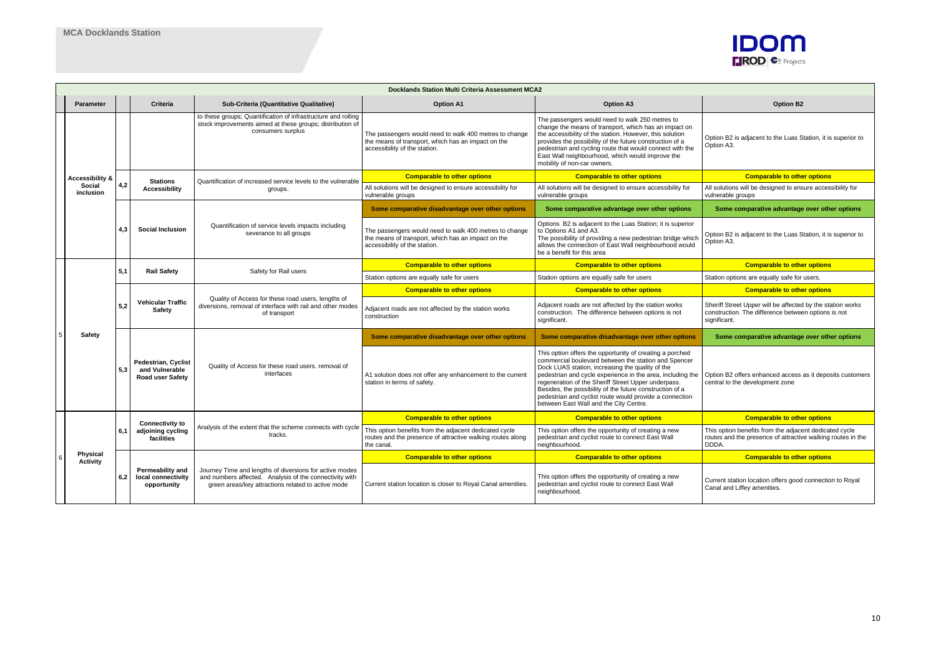Option B2 is adjacent to the Luas Station, it is superior to Option A3.

**Comparable to other options** 

All solutions will be designed to ensure accessibility for vulnerable groups

**Some comparative advantage over other options** 

Option B2 is adjacent to the Luas Station, it is superior to Option A3.

**Comparable to other options** 

Station options are equally safe for users.

**Comparable to other options** 

|   |                                                   |     | <b>Docklands Station Multi Criteria Assessment MCA2</b>                 |                                                                                                                                                                          |                                                                                                                                               |                                                                                                                                                                                                                                                                                                                                                                                                                                                                                               |                                                                                              |  |  |  |  |
|---|---------------------------------------------------|-----|-------------------------------------------------------------------------|--------------------------------------------------------------------------------------------------------------------------------------------------------------------------|-----------------------------------------------------------------------------------------------------------------------------------------------|-----------------------------------------------------------------------------------------------------------------------------------------------------------------------------------------------------------------------------------------------------------------------------------------------------------------------------------------------------------------------------------------------------------------------------------------------------------------------------------------------|----------------------------------------------------------------------------------------------|--|--|--|--|
|   | <b>Parameter</b>                                  |     | <b>Criteria</b>                                                         | Sub-Criteria (Quantitative Qualitative)                                                                                                                                  | <b>Option A1</b>                                                                                                                              | <b>Option A3</b>                                                                                                                                                                                                                                                                                                                                                                                                                                                                              | <b>Option B2</b>                                                                             |  |  |  |  |
|   |                                                   |     |                                                                         | to these groups; Quantification of infrastructure and rolling<br>stock improvements aimed at these groups; distribution of<br>consumers surplus                          | The passengers would need to walk 400 metres to change<br>the means of transport, which has an impact on the<br>accessibility of the station. | The passengers would need to walk 250 metres to<br>change the means of transport, which has an impact on<br>the accessibility of the station. However, this solution<br>provides the possibility of the future construction of a<br>pedestrian and cycling route that would connect with the<br>East Wall neighbourhood, which would improve the<br>mobility of non-car owners.                                                                                                               | Option B2 is adjacent to the Luas S<br>Option A3.                                            |  |  |  |  |
|   | <b>Accessibility &amp;</b><br>Social<br>inclusion |     | <b>Stations</b>                                                         | Quantification of increased service levels to the vulnerable                                                                                                             | <b>Comparable to other options</b>                                                                                                            | <b>Comparable to other options</b>                                                                                                                                                                                                                                                                                                                                                                                                                                                            | <b>Comparable to other</b>                                                                   |  |  |  |  |
|   |                                                   | 4,2 | <b>Accessibility</b>                                                    | groups.                                                                                                                                                                  | All solutions will be designed to ensure accessibility for<br>vulnerable groups                                                               | All solutions will be designed to ensure accessibility for<br>vulnerable groups                                                                                                                                                                                                                                                                                                                                                                                                               | All solutions will be designed to ens<br>vulnerable groups                                   |  |  |  |  |
|   |                                                   |     |                                                                         |                                                                                                                                                                          | Some comparative disadvantage over other options                                                                                              | Some comparative advantage over other options                                                                                                                                                                                                                                                                                                                                                                                                                                                 | Some comparative advantage                                                                   |  |  |  |  |
|   |                                                   | 4.3 | <b>Social Inclusion</b>                                                 | Quantification of service levels impacts including<br>severance to all groups                                                                                            | The passengers would need to walk 400 metres to change<br>the means of transport, which has an impact on the<br>accessibility of the station. | Options B2 is adjacent to the Luas Station; it is superior<br>to Options A1 and A3.<br>The possibility of providing a new pedestrian bridge which<br>allows the connection of East Wall neighbourhood would<br>be a benefit for this area                                                                                                                                                                                                                                                     | Option B2 is adjacent to the Luas S<br>Option A3.                                            |  |  |  |  |
|   |                                                   | 5,1 | <b>Rail Safety</b>                                                      | Safety for Rail users                                                                                                                                                    | <b>Comparable to other options</b>                                                                                                            | <b>Comparable to other options</b>                                                                                                                                                                                                                                                                                                                                                                                                                                                            | <b>Comparable to other</b>                                                                   |  |  |  |  |
|   |                                                   |     |                                                                         |                                                                                                                                                                          | Station options are equally safe for users                                                                                                    | Station options are equally safe for users                                                                                                                                                                                                                                                                                                                                                                                                                                                    | Station options are equally safe for                                                         |  |  |  |  |
|   |                                                   |     |                                                                         |                                                                                                                                                                          | <b>Comparable to other options</b>                                                                                                            | <b>Comparable to other options</b>                                                                                                                                                                                                                                                                                                                                                                                                                                                            | <b>Comparable to other</b>                                                                   |  |  |  |  |
|   |                                                   | 5,2 | <b>Vehicular Traffic</b><br><b>Safety</b>                               | Quality of Access for these road users, lengths of<br>diversions, removal of interface with rail and other modes<br>of transport                                         | Adjacent roads are not affected by the station works<br>construction                                                                          | Adjacent roads are not affected by the station works<br>construction. The difference between options is not<br>significant.                                                                                                                                                                                                                                                                                                                                                                   | Sheriff Street Upper will be affected<br>construction. The difference betwee<br>significant. |  |  |  |  |
|   | <b>Safety</b>                                     |     |                                                                         |                                                                                                                                                                          | Some comparative disadvantage over other options                                                                                              | Some comparative disadvantage over other options                                                                                                                                                                                                                                                                                                                                                                                                                                              | Some comparative advantage                                                                   |  |  |  |  |
|   |                                                   | 5,3 | <b>Pedestrian, Cyclist</b><br>and Vulnerable<br><b>Road user Safety</b> | Quality of Access for these road users. removal of<br>interfaces                                                                                                         | A1 solution does not offer any enhancement to the current<br>station in terms of safety.                                                      | This option offers the opportunity of creating a porched<br>commercial boulevard between the station and Spencer<br>Dock LUAS station, increasing the quality of the<br>pedestrian and cycle experience in the area, including the   Option B2 offers enhanced access<br>regeneration of the Sheriff Street Upper underpass.<br>Besides, the possibility of the future construction of a<br>pedestrian and cyclist route would provide a connection<br>between East Wall and the City Centre. | central to the development zone                                                              |  |  |  |  |
|   |                                                   |     | <b>Connectivity to</b>                                                  |                                                                                                                                                                          | <b>Comparable to other options</b>                                                                                                            | <b>Comparable to other options</b>                                                                                                                                                                                                                                                                                                                                                                                                                                                            | <b>Comparable to othe</b>                                                                    |  |  |  |  |
|   |                                                   | 6,1 | adjoining cycling<br>facilities                                         | Analysis of the extent that the scheme connects with cycle<br>tracks.                                                                                                    | This option benefits from the adjacent dedicated cycle<br>routes and the presence of attractive walking routes along<br>the canal.            | This option offers the opportunity of creating a new<br>pedestrian and cyclist route to connect East Wall<br>neighbourhood.                                                                                                                                                                                                                                                                                                                                                                   | This option benefits from the adjace<br>routes and the presence of attractiv<br>DDDA.        |  |  |  |  |
| 6 | <b>Physical</b><br><b>Activity</b>                |     |                                                                         |                                                                                                                                                                          | <b>Comparable to other options</b>                                                                                                            | <b>Comparable to other options</b>                                                                                                                                                                                                                                                                                                                                                                                                                                                            | <b>Comparable to other</b>                                                                   |  |  |  |  |
|   |                                                   | 6,2 | Permeability and<br>local connectivity<br>opportunity                   | Journey Time and lengths of diversions for active modes<br>and numbers affected. Analysis of the connectivity with<br>green areas/key attractions related to active mode | Current station location is closer to Royal Canal amenities.                                                                                  | This option offers the opportunity of creating a new<br>pedestrian and cyclist route to connect East Wall<br>neighbourhood.                                                                                                                                                                                                                                                                                                                                                                   | Current station location offers good<br>Canal and Liffey amenities.                          |  |  |  |  |



Sheriff Street Upper will be affected by the station works construction. The difference between options is not significant.

**Some comparative advantage over other options** 

Option B2 offers enhanced access as it deposits customers central to the development zone

## **Comparable to other options**

This option benefits from the adjacent dedicated cycle routes and the presence of attractive walking routes in the DDDA.

## **Comparable to other options**

Current station location offers good connection to Royal Canal and Liffey amenities.